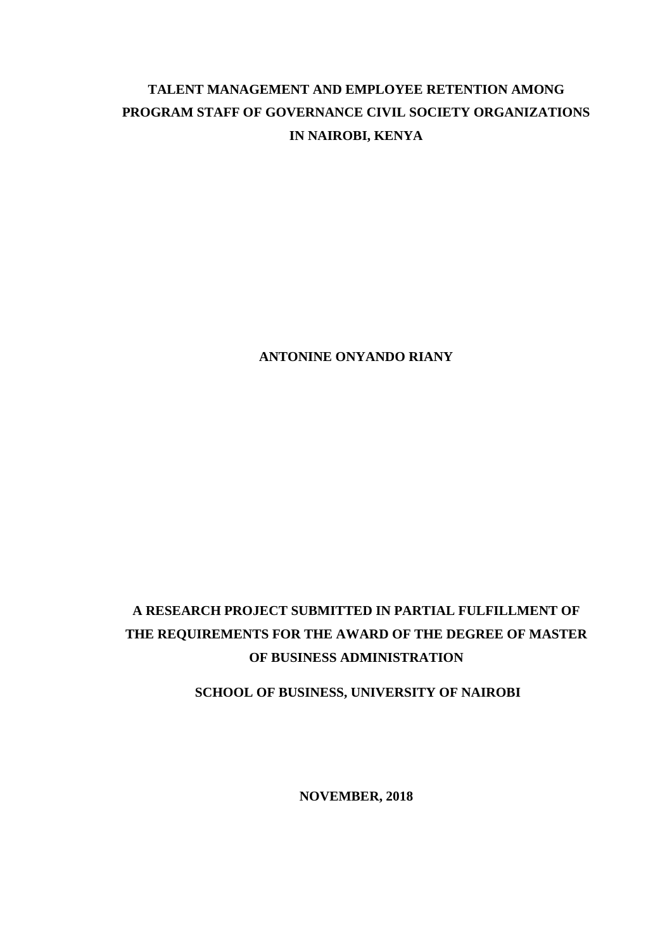# **TALENT MANAGEMENT AND EMPLOYEE RETENTION AMONG PROGRAM STAFF OF GOVERNANCE CIVIL SOCIETY ORGANIZATIONS IN NAIROBI, KENYA**

**ANTONINE ONYANDO RIANY**

# **A RESEARCH PROJECT SUBMITTED IN PARTIAL FULFILLMENT OF THE REQUIREMENTS FOR THE AWARD OF THE DEGREE OF MASTER OF BUSINESS ADMINISTRATION**

**SCHOOL OF BUSINESS, UNIVERSITY OF NAIROBI**

**NOVEMBER, 2018**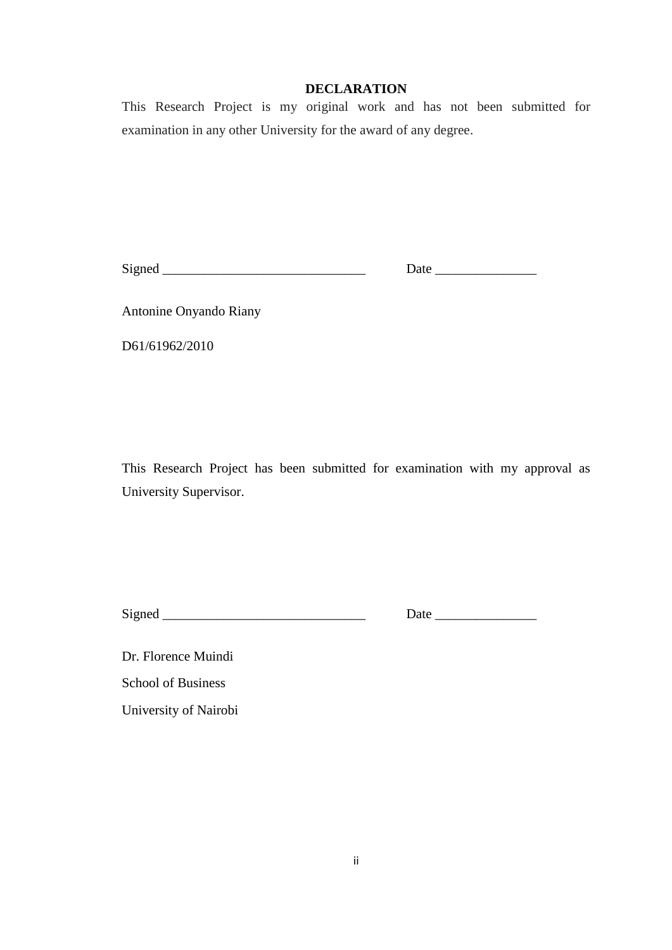## **DECLARATION**

<span id="page-1-0"></span>This Research Project is my original work and has not been submitted for examination in any other University for the award of any degree.

Signed \_\_\_\_\_\_\_\_\_\_\_\_\_\_\_\_\_\_\_\_\_\_\_\_\_\_\_\_\_\_ Date \_\_\_\_\_\_\_\_\_\_\_\_\_\_\_

Antonine Onyando Riany

D61/61962/2010

This Research Project has been submitted for examination with my approval as University Supervisor.

Signed \_\_\_\_\_\_\_\_\_\_\_\_\_\_\_\_\_\_\_\_\_\_\_\_\_\_\_\_\_\_ Date \_\_\_\_\_\_\_\_\_\_\_\_\_\_\_

Dr. Florence Muindi School of Business University of Nairobi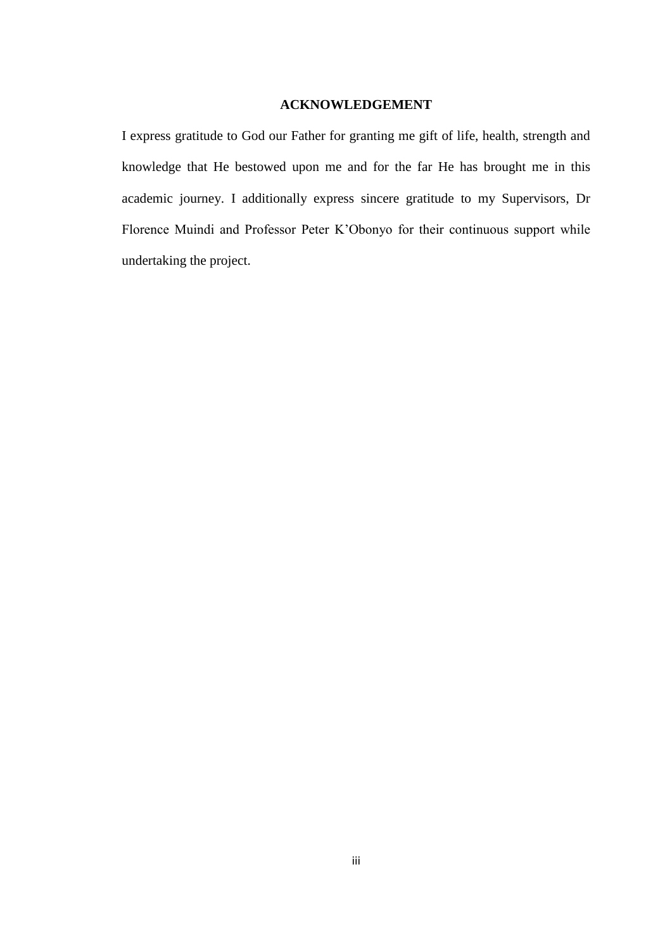## **ACKNOWLEDGEMENT**

<span id="page-2-0"></span>I express gratitude to God our Father for granting me gift of life, health, strength and knowledge that He bestowed upon me and for the far He has brought me in this academic journey. I additionally express sincere gratitude to my Supervisors, Dr Florence Muindi and Professor Peter K'Obonyo for their continuous support while undertaking the project.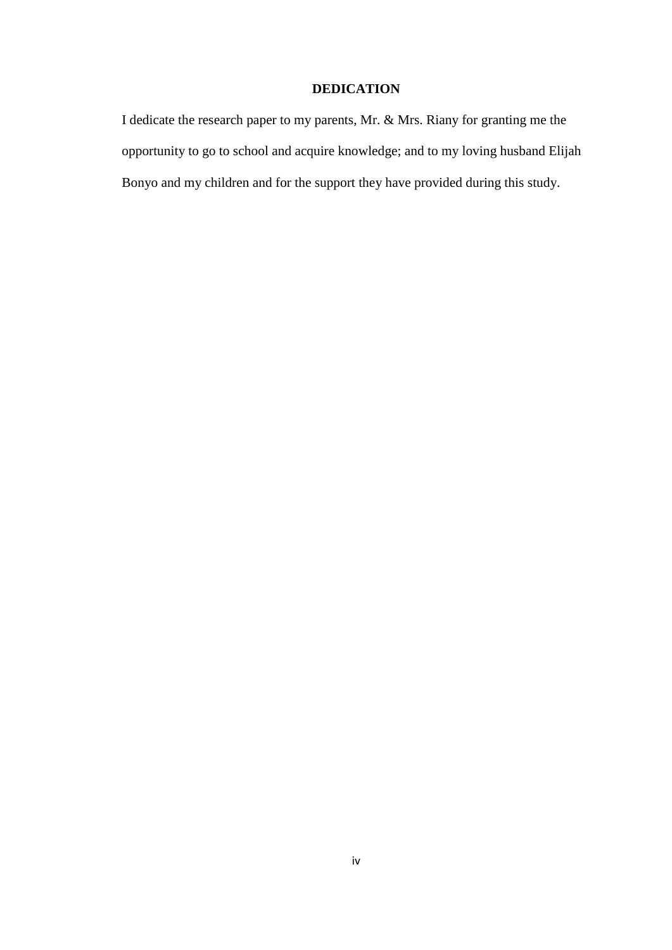## **DEDICATION**

<span id="page-3-0"></span>I dedicate the research paper to my parents, Mr. & Mrs. Riany for granting me the opportunity to go to school and acquire knowledge; and to my loving husband Elijah Bonyo and my children and for the support they have provided during this study.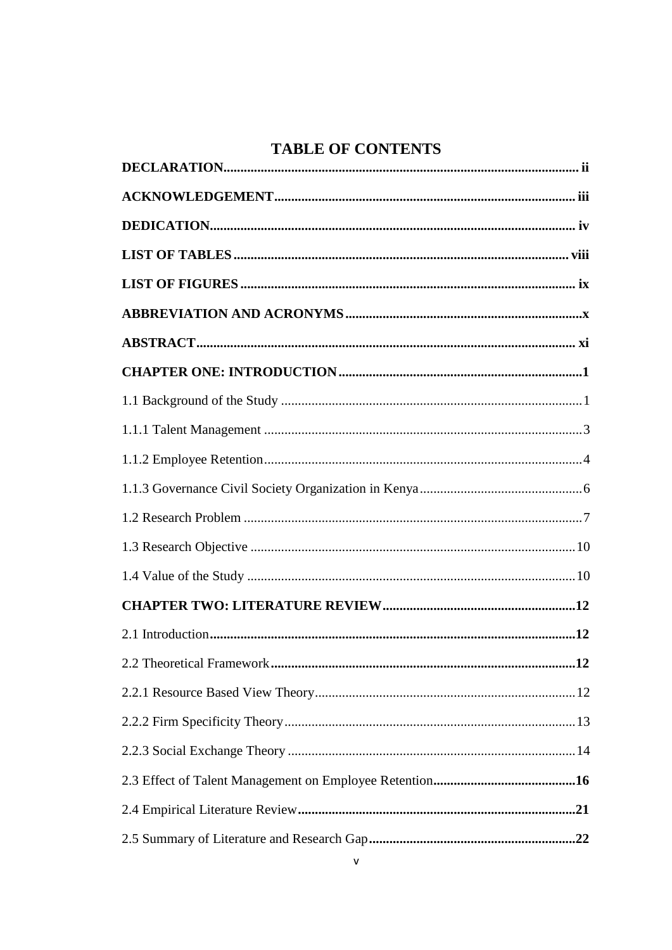# **TABLE OF CONTENTS**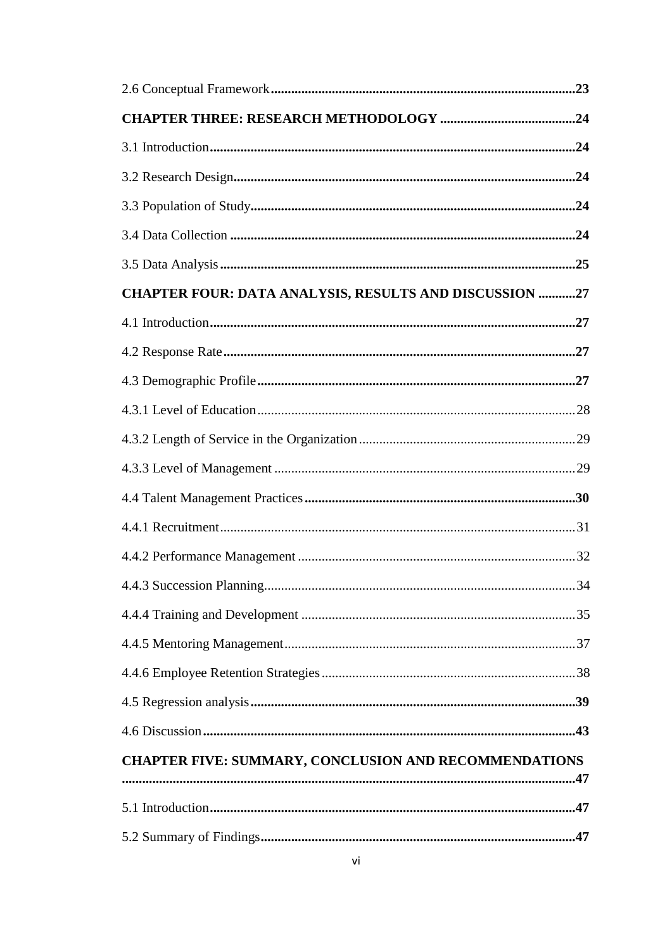| CHAPTER FOUR: DATA ANALYSIS, RESULTS AND DISCUSSION 27 |  |
|--------------------------------------------------------|--|
|                                                        |  |
|                                                        |  |
|                                                        |  |
|                                                        |  |
|                                                        |  |
|                                                        |  |
|                                                        |  |
|                                                        |  |
|                                                        |  |
|                                                        |  |
|                                                        |  |
|                                                        |  |
|                                                        |  |
|                                                        |  |
|                                                        |  |
| CHAPTER FIVE: SUMMARY, CONCLUSION AND RECOMMENDATIONS  |  |
|                                                        |  |
|                                                        |  |
|                                                        |  |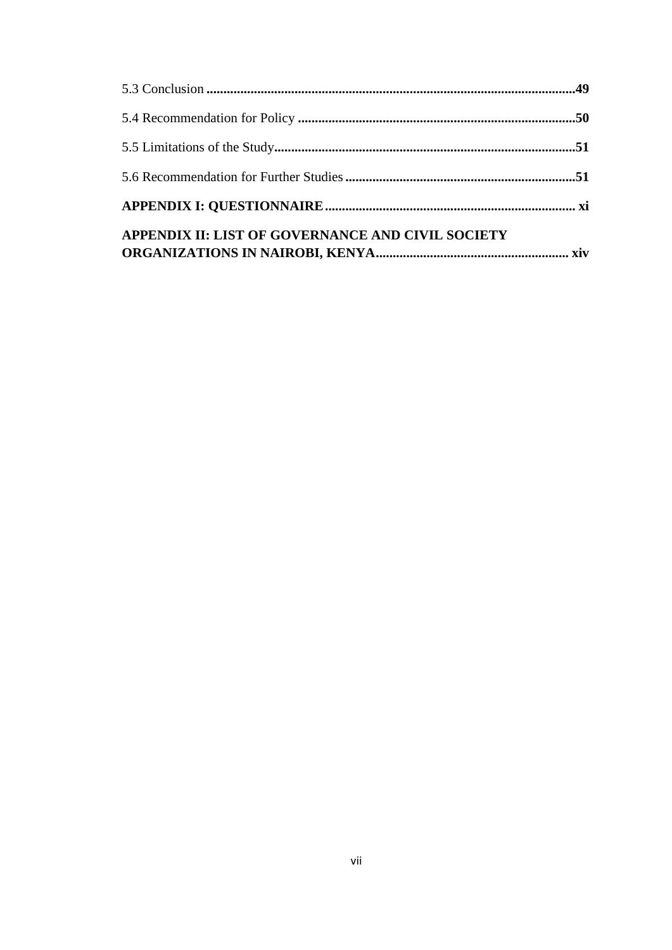| APPENDIX II: LIST OF GOVERNANCE AND CIVIL SOCIETY |  |
|---------------------------------------------------|--|
|                                                   |  |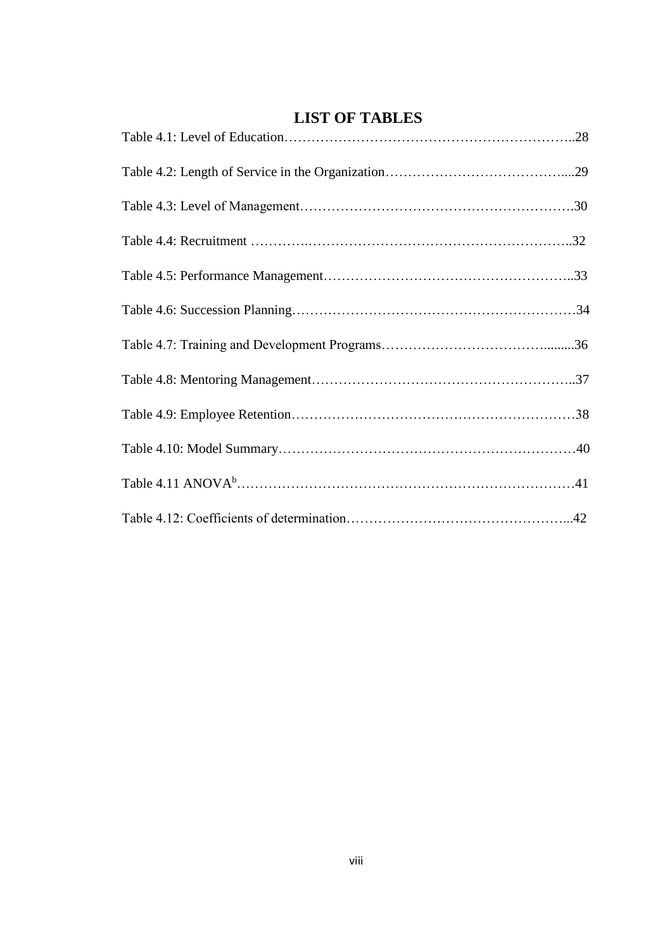# <span id="page-7-0"></span>**LIST OF TABLES**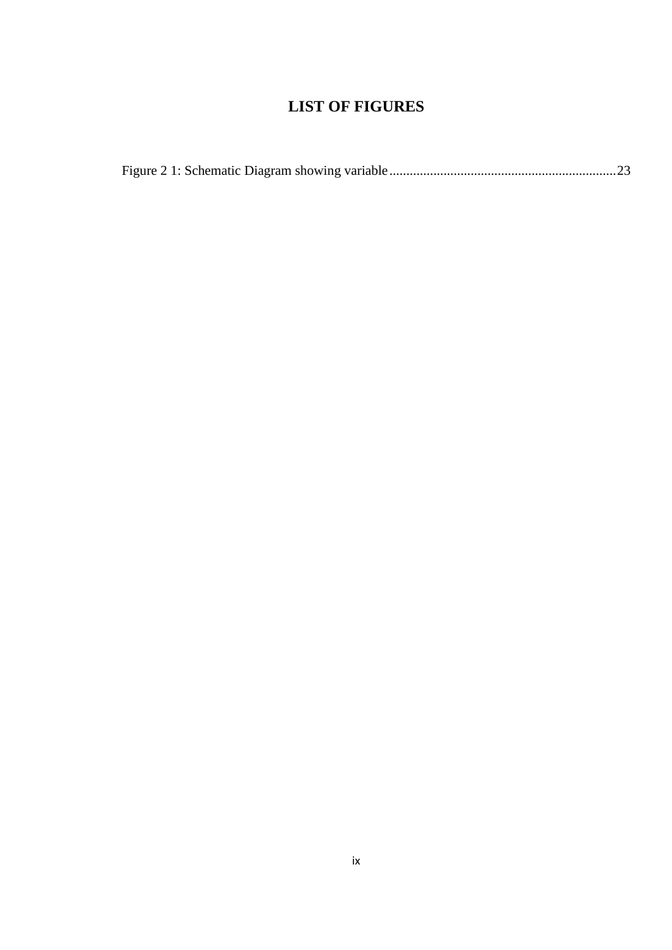# **LIST OF FIGURES**

<span id="page-8-0"></span>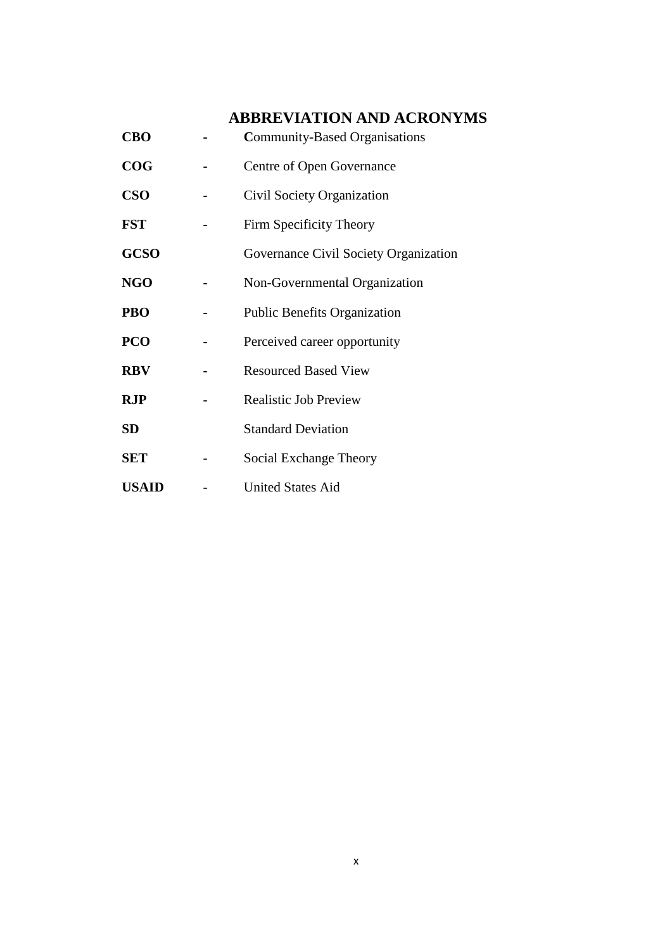# <span id="page-9-0"></span>**ABBREVIATION AND ACRONYMS**

| <b>CBO</b>   | <b>Community-Based Organisations</b>  |
|--------------|---------------------------------------|
| COG          | Centre of Open Governance             |
| <b>CSO</b>   | Civil Society Organization            |
| <b>FST</b>   | Firm Specificity Theory               |
| <b>GCSO</b>  | Governance Civil Society Organization |
| <b>NGO</b>   | Non-Governmental Organization         |
| PBO          | <b>Public Benefits Organization</b>   |
| <b>PCO</b>   | Perceived career opportunity          |
| <b>RBV</b>   | <b>Resourced Based View</b>           |
| <b>RJP</b>   | <b>Realistic Job Preview</b>          |
| SD           | <b>Standard Deviation</b>             |
| <b>SET</b>   | Social Exchange Theory                |
| <b>USAID</b> | <b>United States Aid</b>              |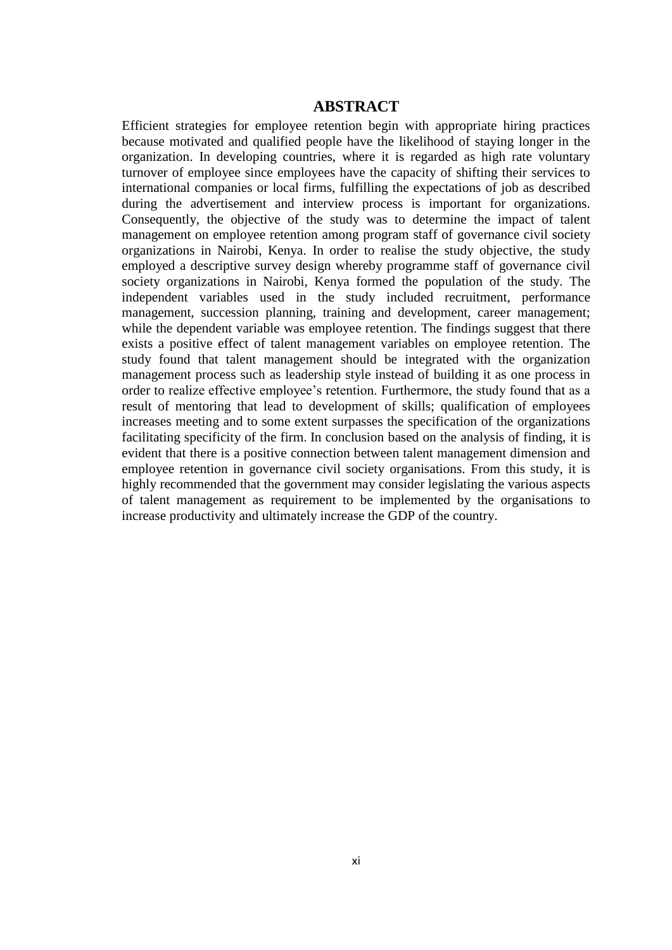## **ABSTRACT**

<span id="page-10-0"></span>Efficient strategies for employee retention begin with appropriate hiring practices because motivated and qualified people have the likelihood of staying longer in the organization. In developing countries, where it is regarded as high rate voluntary turnover of employee since employees have the capacity of shifting their services to international companies or local firms, fulfilling the expectations of job as described during the advertisement and interview process is important for organizations. Consequently, the objective of the study was to determine the impact of talent management on employee retention among program staff of governance civil society organizations in Nairobi, Kenya. In order to realise the study objective, the study employed a descriptive survey design whereby programme staff of governance civil society organizations in Nairobi, Kenya formed the population of the study. The independent variables used in the study included recruitment, performance management, succession planning, training and development, career management; while the dependent variable was employee retention. The findings suggest that there exists a positive effect of talent management variables on employee retention. The study found that talent management should be integrated with the organization management process such as leadership style instead of building it as one process in order to realize effective employee's retention. Furthermore, the study found that as a result of mentoring that lead to development of skills; qualification of employees increases meeting and to some extent surpasses the specification of the organizations facilitating specificity of the firm. In conclusion based on the analysis of finding, it is evident that there is a positive connection between talent management dimension and employee retention in governance civil society organisations. From this study, it is highly recommended that the government may consider legislating the various aspects of talent management as requirement to be implemented by the organisations to increase productivity and ultimately increase the GDP of the country.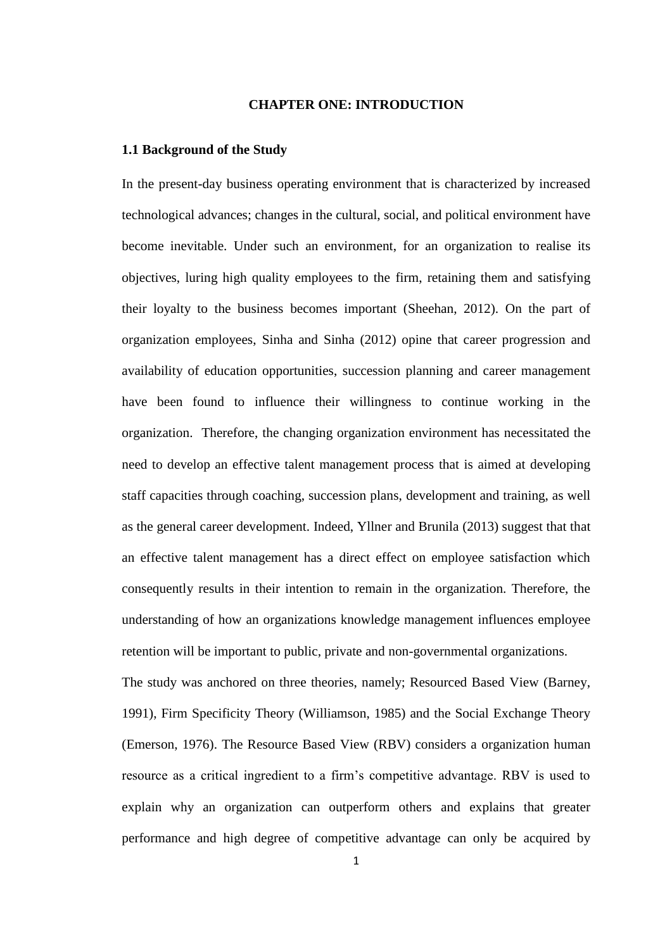## **CHAPTER ONE: INTRODUCTION**

#### <span id="page-11-1"></span><span id="page-11-0"></span>**1.1 Background of the Study**

In the present-day business operating environment that is characterized by increased technological advances; changes in the cultural, social, and political environment have become inevitable. Under such an environment, for an organization to realise its objectives, luring high quality employees to the firm, retaining them and satisfying their loyalty to the business becomes important (Sheehan, 2012). On the part of organization employees, Sinha and Sinha (2012) opine that career progression and availability of education opportunities, succession planning and career management have been found to influence their willingness to continue working in the organization. Therefore, the changing organization environment has necessitated the need to develop an effective talent management process that is aimed at developing staff capacities through coaching, succession plans, development and training, as well as the general career development. Indeed, Yllner and Brunila (2013) suggest that that an effective talent management has a direct effect on employee satisfaction which consequently results in their intention to remain in the organization. Therefore, the understanding of how an organizations knowledge management influences employee retention will be important to public, private and non-governmental organizations.

The study was anchored on three theories, namely; Resourced Based View (Barney, 1991), Firm Specificity Theory (Williamson, 1985) and the Social Exchange Theory (Emerson, 1976). The Resource Based View (RBV) considers a organization human resource as a critical ingredient to a firm's competitive advantage. RBV is used to explain why an organization can outperform others and explains that greater performance and high degree of competitive advantage can only be acquired by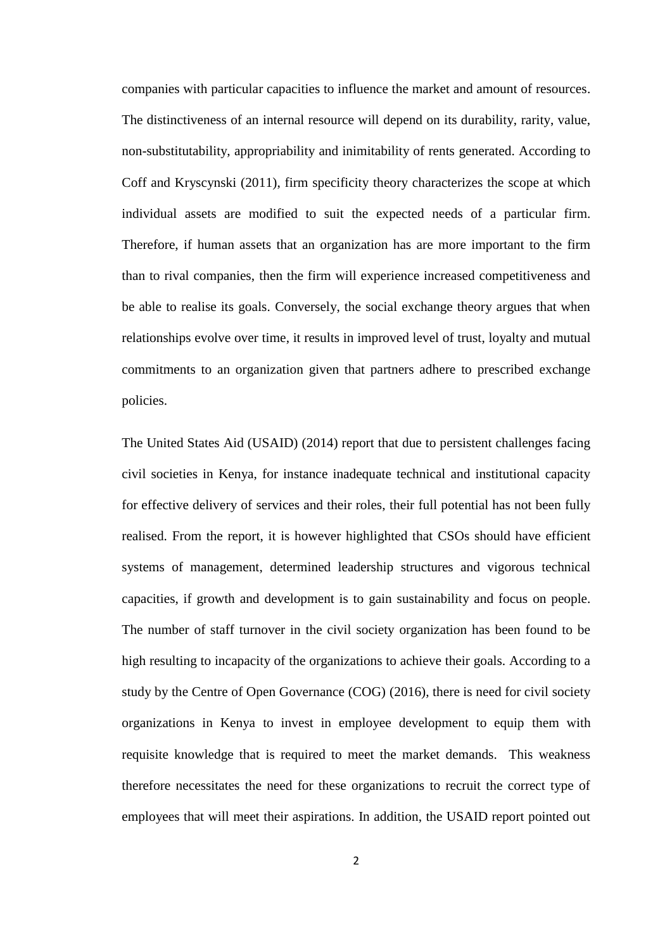companies with particular capacities to influence the market and amount of resources. The distinctiveness of an internal resource will depend on its durability, rarity, value, non-substitutability, appropriability and inimitability of rents generated. According to Coff and Kryscynski (2011), firm specificity theory characterizes the scope at which individual assets are modified to suit the expected needs of a particular firm. Therefore, if human assets that an organization has are more important to the firm than to rival companies, then the firm will experience increased competitiveness and be able to realise its goals. Conversely, the social exchange theory argues that when relationships evolve over time, it results in improved level of trust, loyalty and mutual commitments to an organization given that partners adhere to prescribed exchange policies.

The United States Aid (USAID) (2014) report that due to persistent challenges facing civil societies in Kenya, for instance inadequate technical and institutional capacity for effective delivery of services and their roles, their full potential has not been fully realised. From the report, it is however highlighted that CSOs should have efficient systems of management, determined leadership structures and vigorous technical capacities, if growth and development is to gain sustainability and focus on people. The number of staff turnover in the civil society organization has been found to be high resulting to incapacity of the organizations to achieve their goals. According to a study by the Centre of Open Governance (COG) (2016), there is need for civil society organizations in Kenya to invest in employee development to equip them with requisite knowledge that is required to meet the market demands. This weakness therefore necessitates the need for these organizations to recruit the correct type of employees that will meet their aspirations. In addition, the USAID report pointed out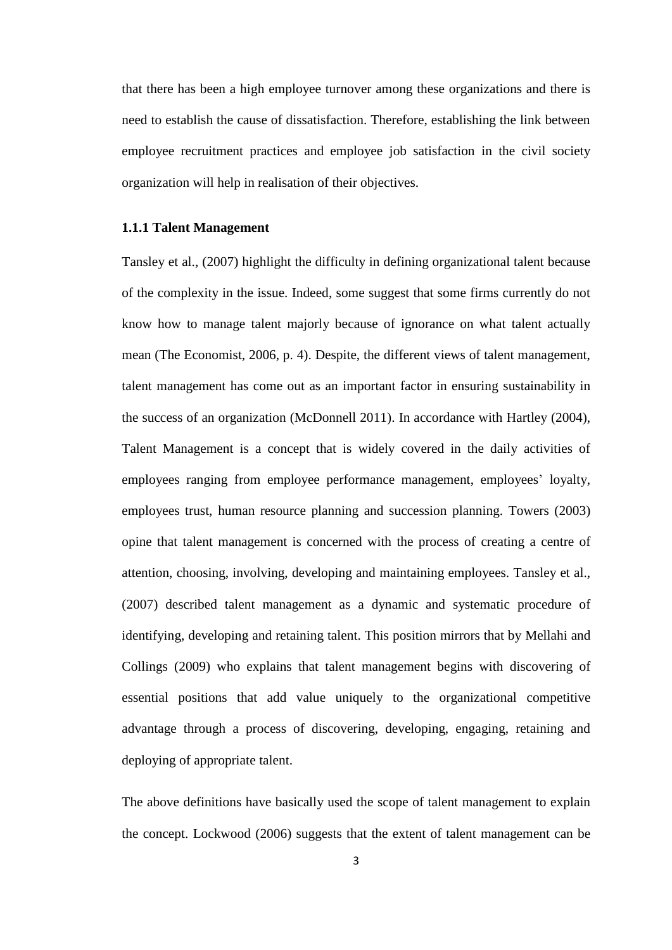that there has been a high employee turnover among these organizations and there is need to establish the cause of dissatisfaction. Therefore, establishing the link between employee recruitment practices and employee job satisfaction in the civil society organization will help in realisation of their objectives.

#### <span id="page-13-0"></span>**1.1.1 Talent Management**

Tansley et al., (2007) highlight the difficulty in defining organizational talent because of the complexity in the issue. Indeed, some suggest that some firms currently do not know how to manage talent majorly because of ignorance on what talent actually mean (The Economist, 2006, p. 4). Despite, the different views of talent management, talent management has come out as an important factor in ensuring sustainability in the success of an organization (McDonnell 2011). In accordance with Hartley (2004), Talent Management is a concept that is widely covered in the daily activities of employees ranging from employee performance management, employees' loyalty, employees trust, human resource planning and succession planning. Towers (2003) opine that talent management is concerned with the process of creating a centre of attention, choosing, involving, developing and maintaining employees. Tansley et al., (2007) described talent management as a dynamic and systematic procedure of identifying, developing and retaining talent. This position mirrors that by Mellahi and Collings (2009) who explains that talent management begins with discovering of essential positions that add value uniquely to the organizational competitive advantage through a process of discovering, developing, engaging, retaining and deploying of appropriate talent.

The above definitions have basically used the scope of talent management to explain the concept. Lockwood (2006) suggests that the extent of talent management can be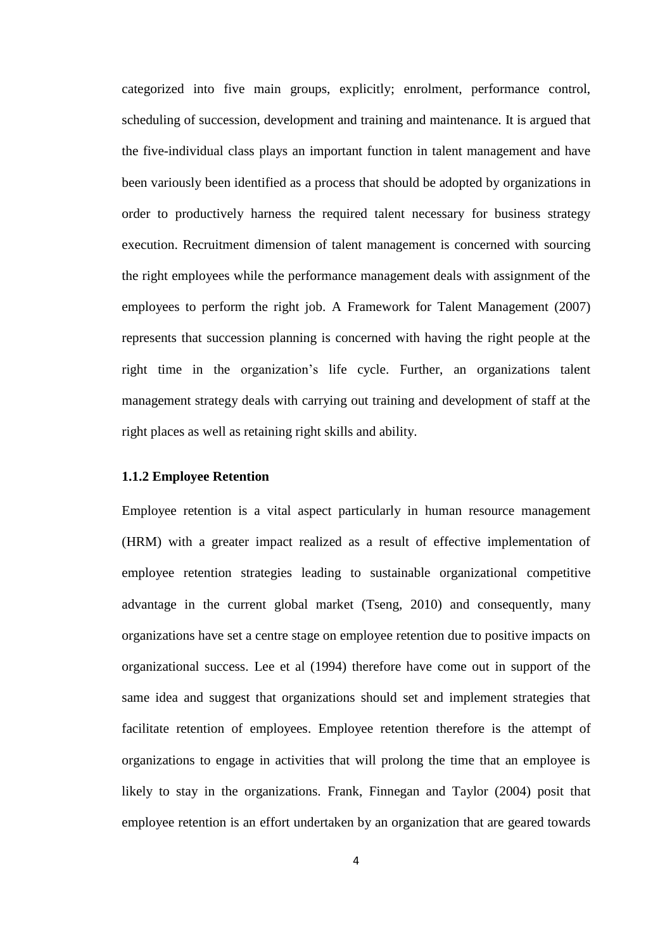categorized into five main groups, explicitly; enrolment, performance control, scheduling of succession, development and training and maintenance. It is argued that the five-individual class plays an important function in talent management and have been variously been identified as a process that should be adopted by organizations in order to productively harness the required talent necessary for business strategy execution. Recruitment dimension of talent management is concerned with sourcing the right employees while the performance management deals with assignment of the employees to perform the right job. A Framework for Talent Management (2007) represents that succession planning is concerned with having the right people at the right time in the organization's life cycle. Further, an organizations talent management strategy deals with carrying out training and development of staff at the right places as well as retaining right skills and ability.

#### <span id="page-14-0"></span>**1.1.2 Employee Retention**

Employee retention is a vital aspect particularly in human resource management (HRM) with a greater impact realized as a result of effective implementation of employee retention strategies leading to sustainable organizational competitive advantage in the current global market (Tseng, 2010) and consequently, many organizations have set a centre stage on employee retention due to positive impacts on organizational success. Lee et al (1994) therefore have come out in support of the same idea and suggest that organizations should set and implement strategies that facilitate retention of employees. Employee retention therefore is the attempt of organizations to engage in activities that will prolong the time that an employee is likely to stay in the organizations. Frank, Finnegan and Taylor (2004) posit that employee retention is an effort undertaken by an organization that are geared towards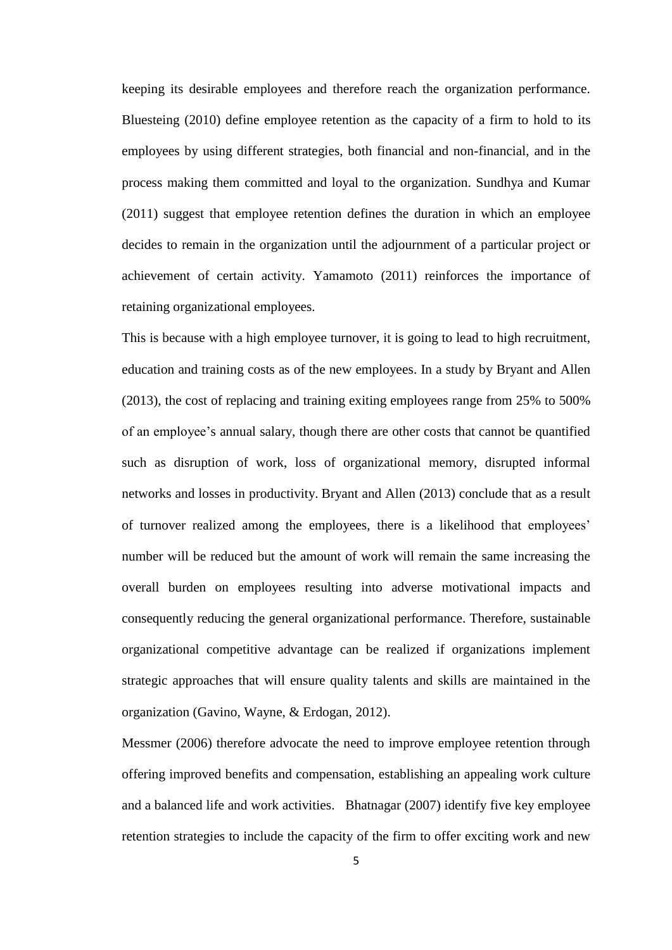keeping its desirable employees and therefore reach the organization performance. Bluesteing (2010) define employee retention as the capacity of a firm to hold to its employees by using different strategies, both financial and non-financial, and in the process making them committed and loyal to the organization. Sundhya and Kumar (2011) suggest that employee retention defines the duration in which an employee decides to remain in the organization until the adjournment of a particular project or achievement of certain activity. Yamamoto (2011) reinforces the importance of retaining organizational employees.

This is because with a high employee turnover, it is going to lead to high recruitment, education and training costs as of the new employees. In a study by Bryant and Allen (2013), the cost of replacing and training exiting employees range from 25% to 500% of an employee's annual salary, though there are other costs that cannot be quantified such as disruption of work, loss of organizational memory, disrupted informal networks and losses in productivity. Bryant and Allen (2013) conclude that as a result of turnover realized among the employees, there is a likelihood that employees' number will be reduced but the amount of work will remain the same increasing the overall burden on employees resulting into adverse motivational impacts and consequently reducing the general organizational performance. Therefore, sustainable organizational competitive advantage can be realized if organizations implement strategic approaches that will ensure quality talents and skills are maintained in the organization (Gavino, Wayne, & Erdogan, 2012).

Messmer (2006) therefore advocate the need to improve employee retention through offering improved benefits and compensation, establishing an appealing work culture and a balanced life and work activities. Bhatnagar (2007) identify five key employee retention strategies to include the capacity of the firm to offer exciting work and new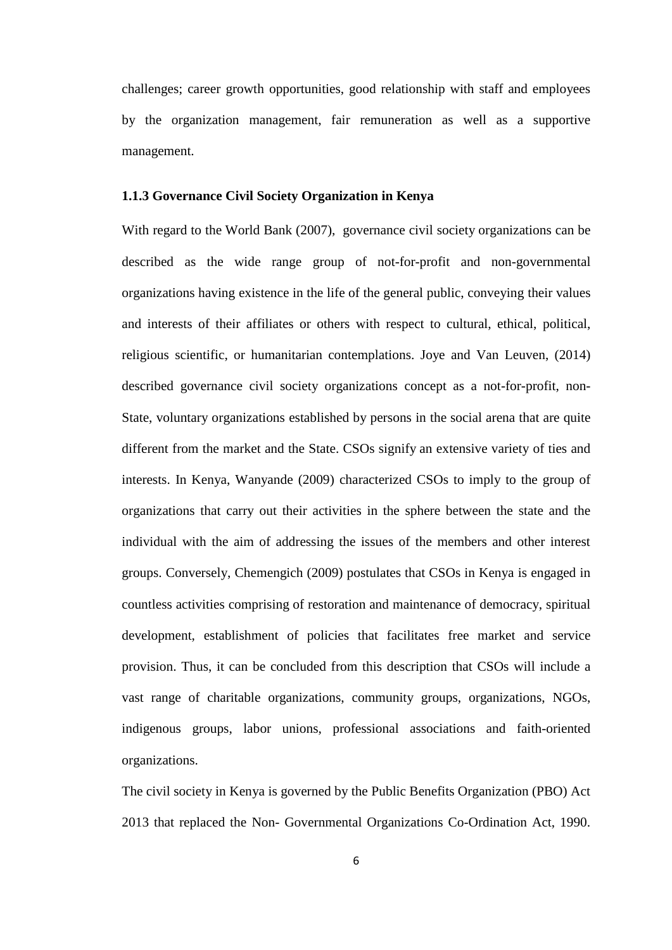challenges; career growth opportunities, good relationship with staff and employees by the organization management, fair remuneration as well as a supportive management.

#### <span id="page-16-0"></span>**1.1.3 Governance Civil Society Organization in Kenya**

With regard to the [World Bank](http://web.worldbank.org/WBSITE/EXTERNAL/TOPICS/CSO/0,,contentMDK:20101499~menuPK:244752~pagePK:220503~piPK:220476~theSitePK:228717,00.html) (2007), governance civil society organizations can be described as the wide range group of not-for-profit and non-governmental organizations having existence in the life of the general public, conveying their values and interests of their affiliates or others with respect to cultural, ethical, political, religious scientific, or humanitarian contemplations. Joye and Van Leuven, (2014) described governance civil society organizations concept as a not-for-profit, non-State, voluntary organizations established by persons in the social arena that are quite different from the market and the State. CSOs signify an extensive variety of ties and interests. In Kenya, Wanyande (2009) characterized CSOs to imply to the group of organizations that carry out their activities in the sphere between the state and the individual with the aim of addressing the issues of the members and other interest groups. Conversely, Chemengich (2009) postulates that CSOs in Kenya is engaged in countless activities comprising of restoration and maintenance of democracy, spiritual development, establishment of policies that facilitates free market and service provision. Thus, it can be concluded from this description that CSOs will include a vast range of charitable organizations, community groups, organizations, NGOs, indigenous groups, labor unions, professional associations and faith-oriented organizations.

The civil society in Kenya is governed by the Public Benefits Organization (PBO) Act 2013 that replaced the Non- Governmental Organizations Co-Ordination Act, 1990.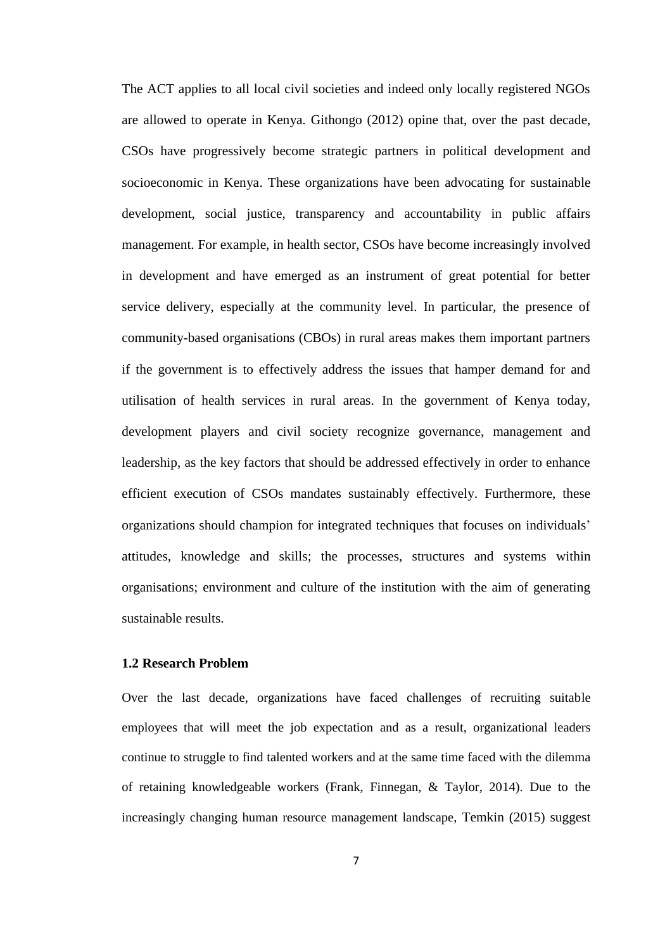The ACT applies to all local civil societies and indeed only locally registered NGOs are allowed to operate in Kenya. Githongo (2012) opine that, over the past decade, CSOs have progressively become strategic partners in political development and socioeconomic in Kenya. These organizations have been advocating for sustainable development, social justice, transparency and accountability in public affairs management. For example, in health sector, CSOs have become increasingly involved in development and have emerged as an instrument of great potential for better service delivery, especially at the community level. In particular, the presence of community-based organisations (CBOs) in rural areas makes them important partners if the government is to effectively address the issues that hamper demand for and utilisation of health services in rural areas. In the government of Kenya today, development players and civil society recognize governance, management and leadership, as the key factors that should be addressed effectively in order to enhance efficient execution of CSOs mandates sustainably effectively. Furthermore, these organizations should champion for integrated techniques that focuses on individuals' attitudes, knowledge and skills; the processes, structures and systems within organisations; environment and culture of the institution with the aim of generating sustainable results.

## <span id="page-17-0"></span>**1.2 Research Problem**

Over the last decade, organizations have faced challenges of recruiting suitable employees that will meet the job expectation and as a result, organizational leaders continue to struggle to find talented workers and at the same time faced with the dilemma of retaining knowledgeable workers (Frank, Finnegan, & Taylor, 2014). Due to the increasingly changing human resource management landscape, Temkin (2015) suggest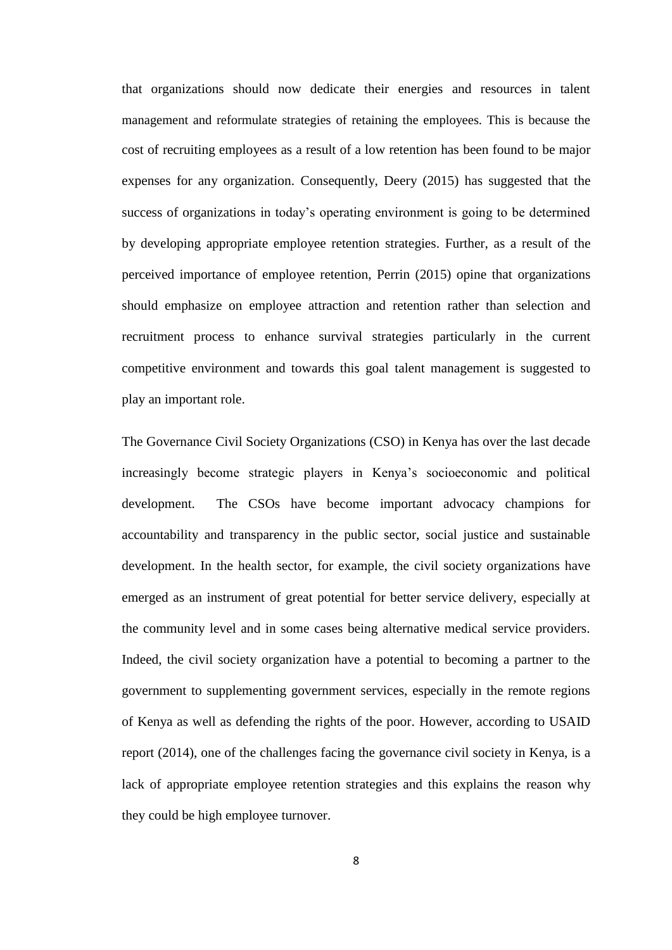that organizations should now dedicate their energies and resources in talent management and reformulate strategies of retaining the employees. This is because the cost of recruiting employees as a result of a low retention has been found to be major expenses for any organization. Consequently, Deery (2015) has suggested that the success of organizations in today's operating environment is going to be determined by developing appropriate employee retention strategies. Further, as a result of the perceived importance of employee retention, Perrin (2015) opine that organizations should emphasize on employee attraction and retention rather than selection and recruitment process to enhance survival strategies particularly in the current competitive environment and towards this goal talent management is suggested to play an important role.

The Governance Civil Society Organizations (CSO) in Kenya has over the last decade increasingly become strategic players in Kenya's socioeconomic and political development. The CSOs have become important advocacy champions for accountability and transparency in the public sector, social justice and sustainable development. In the health sector, for example, the civil society organizations have emerged as an instrument of great potential for better service delivery, especially at the community level and in some cases being alternative medical service providers. Indeed, the civil society organization have a potential to becoming a partner to the government to supplementing government services, especially in the remote regions of Kenya as well as defending the rights of the poor. However, according to USAID report (2014), one of the challenges facing the governance civil society in Kenya, is a lack of appropriate employee retention strategies and this explains the reason why they could be high employee turnover.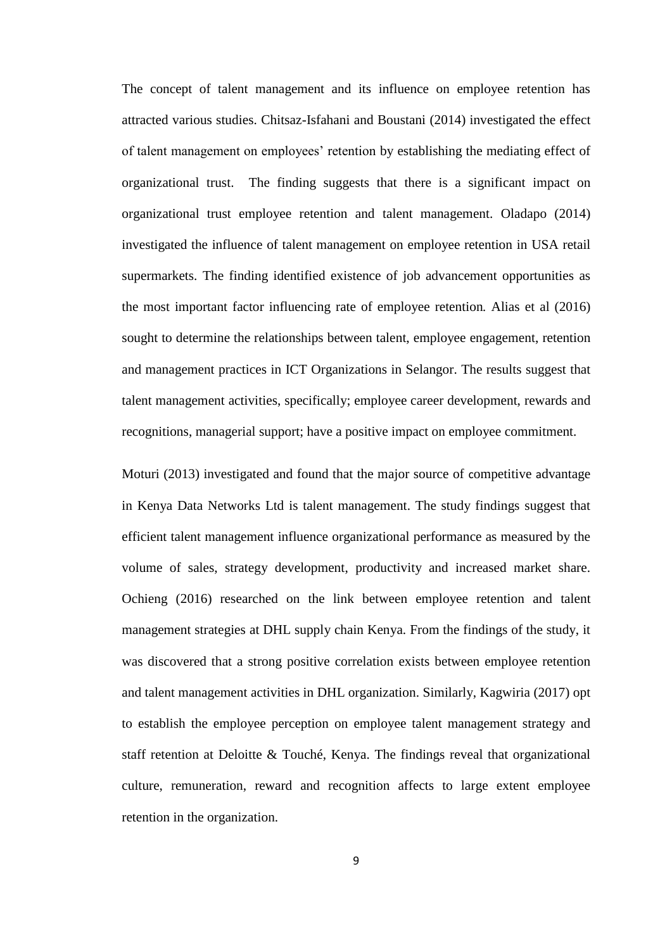The concept of talent management and its influence on employee retention has attracted various studies. Chitsaz-Isfahani and Boustani (2014) investigated the effect of talent management on employees' retention by establishing the mediating effect of organizational trust. The finding suggests that there is a significant impact on organizational trust employee retention and talent management. Oladapo (2014) investigated the influence of talent management on employee retention in USA retail supermarkets. The finding identified existence of job advancement opportunities as the most important factor influencing rate of employee retention*.* Alias et al (2016) sought to determine the relationships between talent, employee engagement, retention and management practices in ICT Organizations in Selangor. The results suggest that talent management activities, specifically; employee career development, rewards and recognitions, managerial support; have a positive impact on employee commitment.

Moturi (2013) investigated and found that the major source of competitive advantage in Kenya Data Networks Ltd is talent management. The study findings suggest that efficient talent management influence organizational performance as measured by the volume of sales, strategy development, productivity and increased market share. Ochieng (2016) researched on the link between employee retention and talent management strategies at DHL supply chain Kenya. From the findings of the study, it was discovered that a strong positive correlation exists between employee retention and talent management activities in DHL organization. Similarly, Kagwiria (2017) opt to establish the employee perception on employee talent management strategy and staff retention at Deloitte & Touché, Kenya. The findings reveal that organizational culture, remuneration, reward and recognition affects to large extent employee retention in the organization.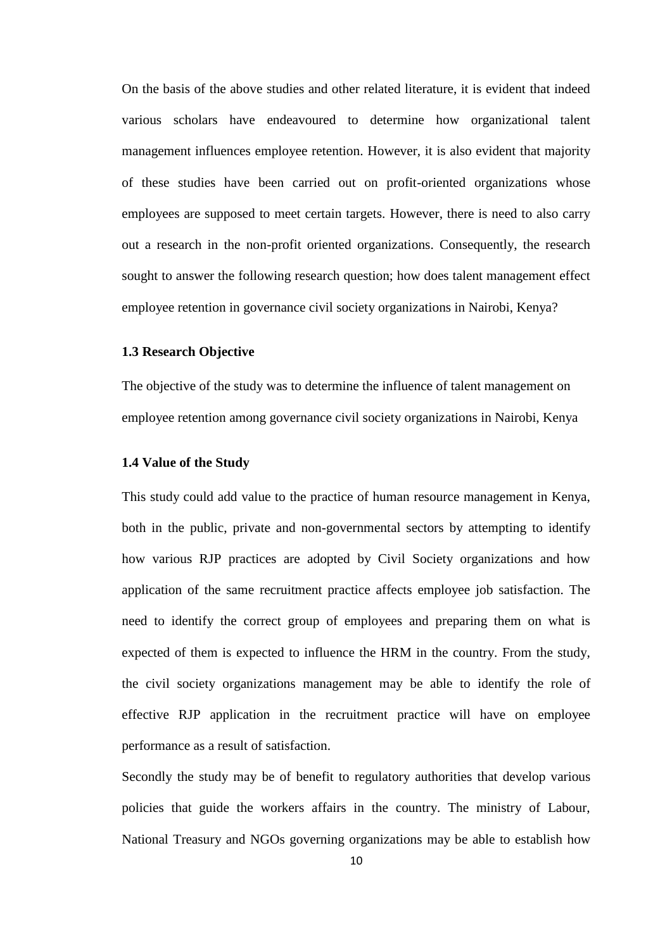On the basis of the above studies and other related literature, it is evident that indeed various scholars have endeavoured to determine how organizational talent management influences employee retention. However, it is also evident that majority of these studies have been carried out on profit-oriented organizations whose employees are supposed to meet certain targets. However, there is need to also carry out a research in the non-profit oriented organizations. Consequently, the research sought to answer the following research question; how does talent management effect employee retention in governance civil society organizations in Nairobi, Kenya?

#### <span id="page-20-0"></span>**1.3 Research Objective**

The objective of the study was to determine the influence of talent management on employee retention among governance civil society organizations in Nairobi, Kenya

#### <span id="page-20-1"></span>**1.4 Value of the Study**

This study could add value to the practice of human resource management in Kenya, both in the public, private and non-governmental sectors by attempting to identify how various RJP practices are adopted by Civil Society organizations and how application of the same recruitment practice affects employee job satisfaction. The need to identify the correct group of employees and preparing them on what is expected of them is expected to influence the HRM in the country. From the study, the civil society organizations management may be able to identify the role of effective RJP application in the recruitment practice will have on employee performance as a result of satisfaction.

Secondly the study may be of benefit to regulatory authorities that develop various policies that guide the workers affairs in the country. The ministry of Labour, National Treasury and NGOs governing organizations may be able to establish how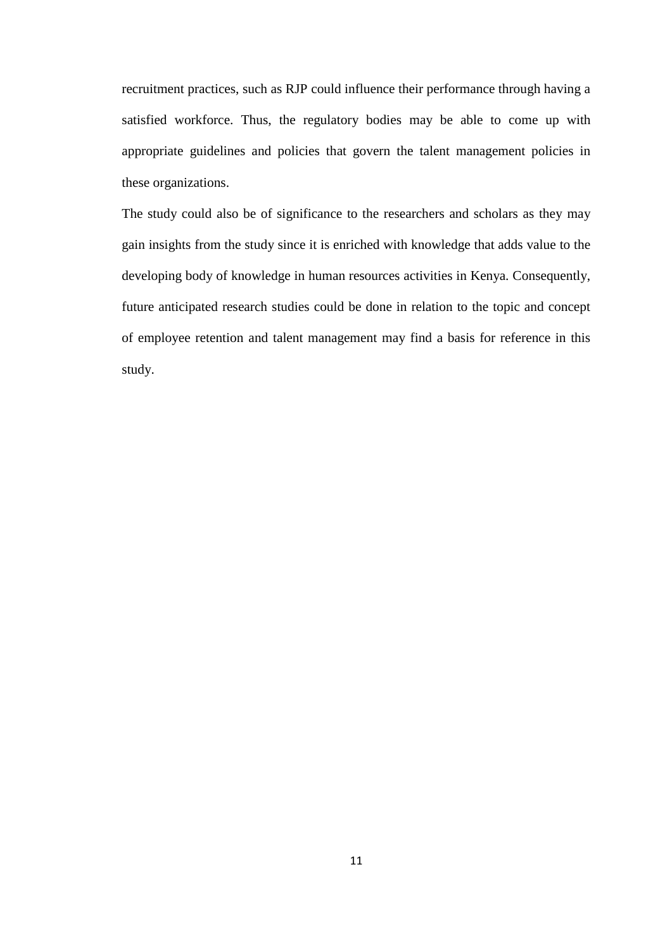recruitment practices, such as RJP could influence their performance through having a satisfied workforce. Thus, the regulatory bodies may be able to come up with appropriate guidelines and policies that govern the talent management policies in these organizations.

The study could also be of significance to the researchers and scholars as they may gain insights from the study since it is enriched with knowledge that adds value to the developing body of knowledge in human resources activities in Kenya. Consequently, future anticipated research studies could be done in relation to the topic and concept of employee retention and talent management may find a basis for reference in this study.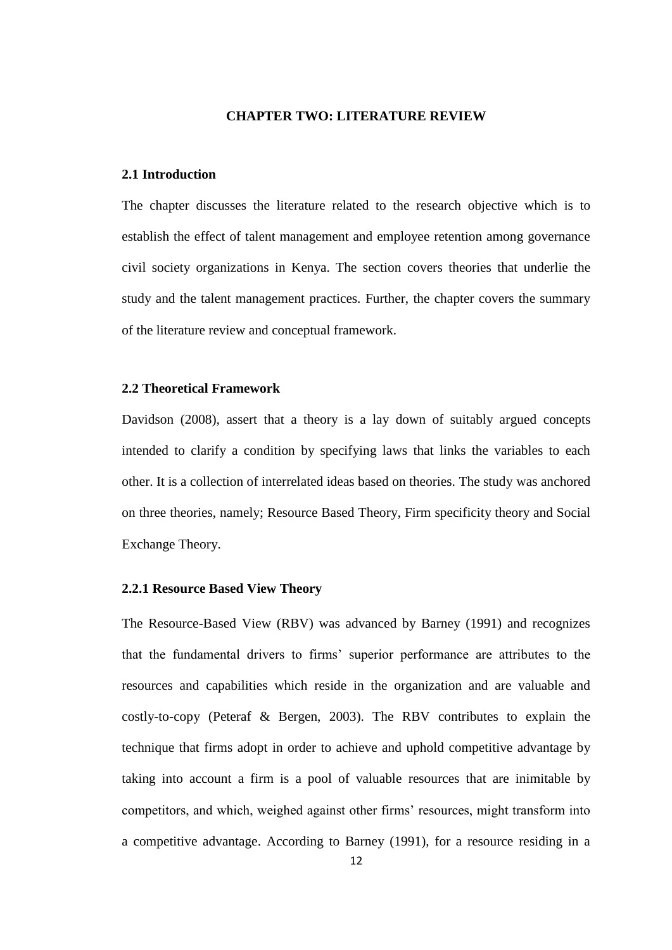#### **CHAPTER TWO: LITERATURE REVIEW**

#### <span id="page-22-1"></span><span id="page-22-0"></span>**2.1 Introduction**

The chapter discusses the literature related to the research objective which is to establish the effect of talent management and employee retention among governance civil society organizations in Kenya. The section covers theories that underlie the study and the talent management practices. Further, the chapter covers the summary of the literature review and conceptual framework.

## <span id="page-22-2"></span>**2.2 Theoretical Framework**

Davidson (2008), assert that a theory is a lay down of suitably argued concepts intended to clarify a condition by specifying laws that links the variables to each other. It is a collection of interrelated ideas based on theories. The study was anchored on three theories, namely; Resource Based Theory, Firm specificity theory and Social Exchange Theory.

#### <span id="page-22-3"></span>**2.2.1 Resource Based View Theory**

The Resource-Based View (RBV) was advanced by Barney (1991) and recognizes that the fundamental drivers to firms' superior performance are attributes to the resources and capabilities which reside in the organization and are valuable and costly-to-copy (Peteraf & Bergen, 2003). The RBV contributes to explain the technique that firms adopt in order to achieve and uphold competitive advantage by taking into account a firm is a pool of valuable resources that are inimitable by competitors, and which, weighed against other firms' resources, might transform into a competitive advantage. According to Barney (1991), for a resource residing in a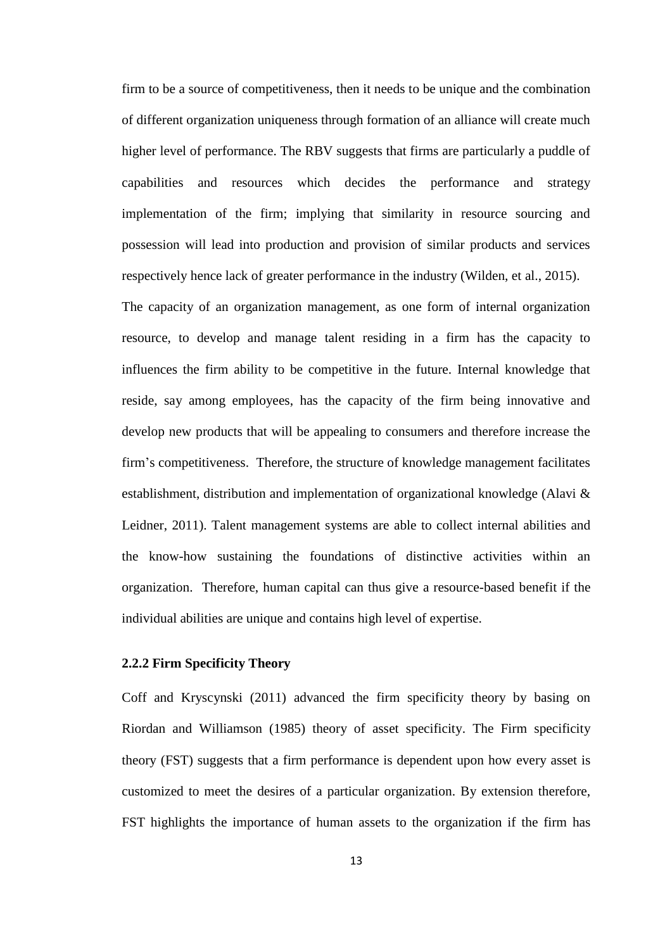firm to be a source of competitiveness, then it needs to be unique and the combination of different organization uniqueness through formation of an alliance will create much higher level of performance. The RBV suggests that firms are particularly a puddle of capabilities and resources which decides the performance and strategy implementation of the firm; implying that similarity in resource sourcing and possession will lead into production and provision of similar products and services respectively hence lack of greater performance in the industry (Wilden, et al., 2015).

The capacity of an organization management, as one form of internal organization resource, to develop and manage talent residing in a firm has the capacity to influences the firm ability to be competitive in the future. Internal knowledge that reside, say among employees, has the capacity of the firm being innovative and develop new products that will be appealing to consumers and therefore increase the firm's competitiveness. Therefore, the structure of knowledge management facilitates establishment, distribution and implementation of organizational knowledge (Alavi & Leidner, 2011). Talent management systems are able to collect internal abilities and the know-how sustaining the foundations of distinctive activities within an organization. Therefore, human capital can thus give a resource-based benefit if the individual abilities are unique and contains high level of expertise.

#### <span id="page-23-0"></span>**2.2.2 Firm Specificity Theory**

Coff and Kryscynski (2011) advanced the firm specificity theory by basing on Riordan and Williamson (1985) theory of asset specificity. The Firm specificity theory (FST) suggests that a firm performance is dependent upon how every asset is customized to meet the desires of a particular organization. By extension therefore, FST highlights the importance of human assets to the organization if the firm has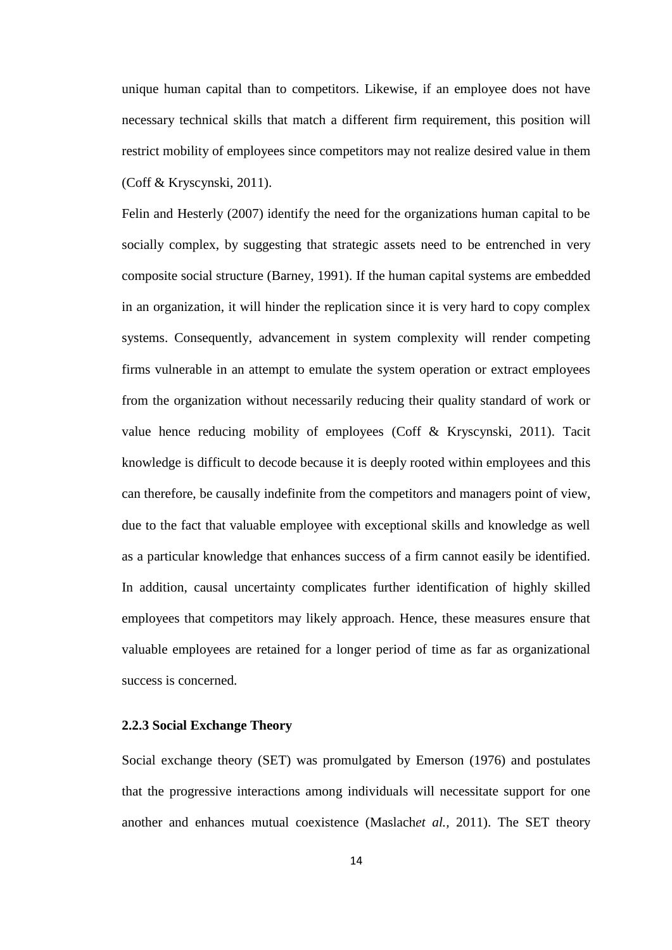unique human capital than to competitors. Likewise, if an employee does not have necessary technical skills that match a different firm requirement, this position will restrict mobility of employees since competitors may not realize desired value in them (Coff & Kryscynski, 2011).

Felin and Hesterly (2007) identify the need for the organizations human capital to be socially complex, by suggesting that strategic assets need to be entrenched in very composite social structure (Barney, 1991). If the human capital systems are embedded in an organization, it will hinder the replication since it is very hard to copy complex systems. Consequently, advancement in system complexity will render competing firms vulnerable in an attempt to emulate the system operation or extract employees from the organization without necessarily reducing their quality standard of work or value hence reducing mobility of employees (Coff & Kryscynski, 2011). Tacit knowledge is difficult to decode because it is deeply rooted within employees and this can therefore, be causally indefinite from the competitors and managers point of view, due to the fact that valuable employee with exceptional skills and knowledge as well as a particular knowledge that enhances success of a firm cannot easily be identified. In addition, causal uncertainty complicates further identification of highly skilled employees that competitors may likely approach. Hence, these measures ensure that valuable employees are retained for a longer period of time as far as organizational success is concerned.

#### <span id="page-24-0"></span>**2.2.3 Social Exchange Theory**

Social exchange theory (SET) was promulgated by Emerson (1976) and postulates that the progressive interactions among individuals will necessitate support for one another and enhances mutual coexistence (Maslach*et al.,* 2011). The SET theory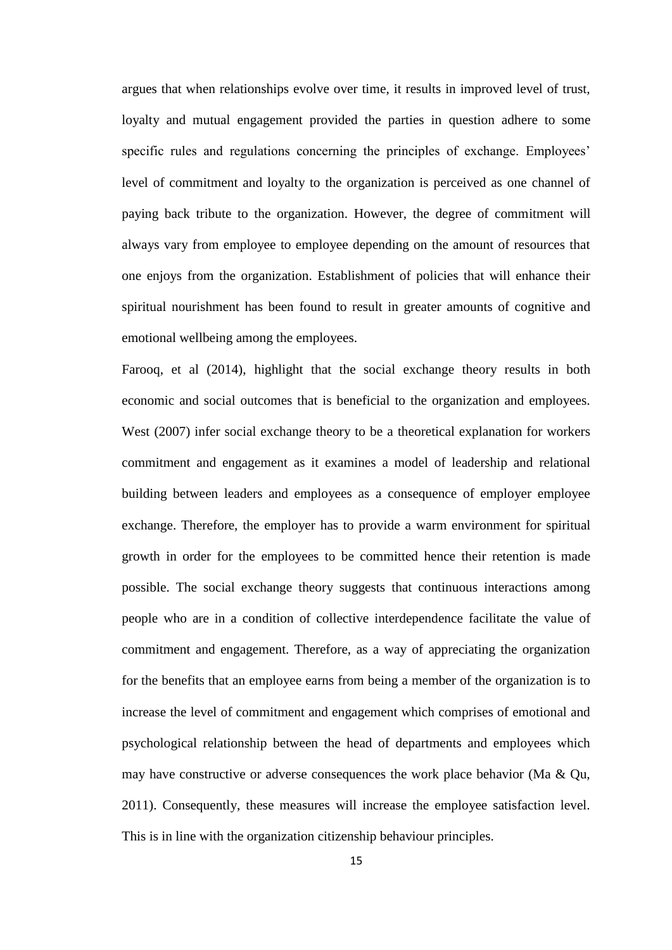argues that when relationships evolve over time, it results in improved level of trust, loyalty and mutual engagement provided the parties in question adhere to some specific rules and regulations concerning the principles of exchange. Employees' level of commitment and loyalty to the organization is perceived as one channel of paying back tribute to the organization. However, the degree of commitment will always vary from employee to employee depending on the amount of resources that one enjoys from the organization. Establishment of policies that will enhance their spiritual nourishment has been found to result in greater amounts of cognitive and emotional wellbeing among the employees.

Farooq, et al (2014), highlight that the social exchange theory results in both economic and social outcomes that is beneficial to the organization and employees. West (2007) infer social exchange theory to be a theoretical explanation for workers commitment and engagement as it examines a model of leadership and relational building between leaders and employees as a consequence of employer employee exchange. Therefore, the employer has to provide a warm environment for spiritual growth in order for the employees to be committed hence their retention is made possible. The social exchange theory suggests that continuous interactions among people who are in a condition of collective interdependence facilitate the value of commitment and engagement. Therefore, as a way of appreciating the organization for the benefits that an employee earns from being a member of the organization is to increase the level of commitment and engagement which comprises of emotional and psychological relationship between the head of departments and employees which may have constructive or adverse consequences the work place behavior (Ma & Qu, 2011). Consequently, these measures will increase the employee satisfaction level. This is in line with the organization citizenship behaviour principles.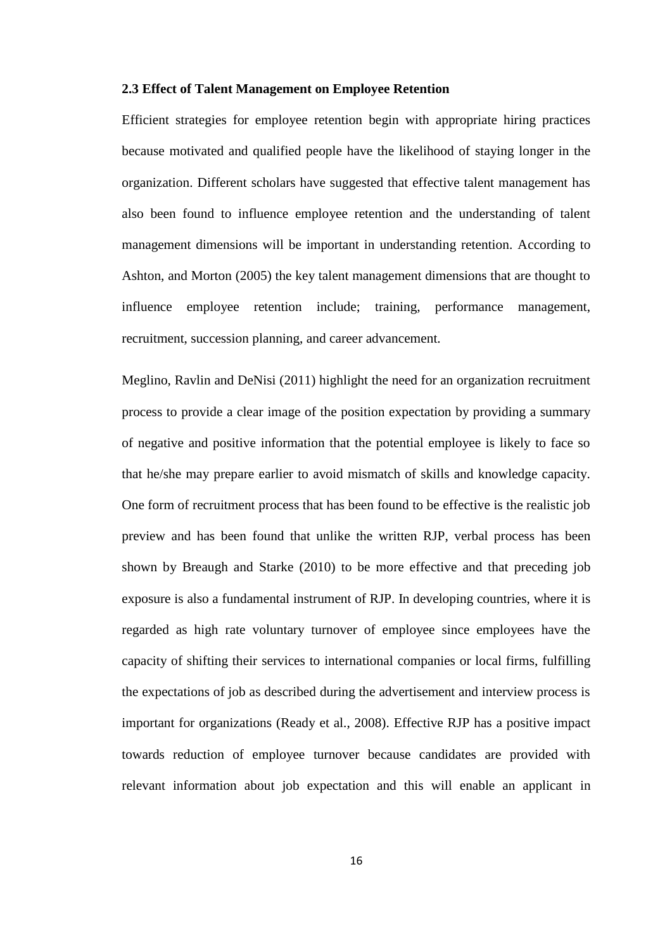#### <span id="page-26-0"></span>**2.3 Effect of Talent Management on Employee Retention**

Efficient strategies for employee retention begin with appropriate hiring practices because motivated and qualified people have the likelihood of staying longer in the organization. Different scholars have suggested that effective talent management has also been found to influence employee retention and the understanding of talent management dimensions will be important in understanding retention. According to Ashton, and Morton (2005) the key talent management dimensions that are thought to influence employee retention include; training, performance management, recruitment, succession planning, and career advancement.

Meglino, Ravlin and DeNisi (2011) highlight the need for an organization recruitment process to provide a clear image of the position expectation by providing a summary of negative and positive information that the potential employee is likely to face so that he/she may prepare earlier to avoid mismatch of skills and knowledge capacity. One form of recruitment process that has been found to be effective is the realistic job preview and has been found that unlike the written RJP, verbal process has been shown by Breaugh and Starke (2010) to be more effective and that preceding job exposure is also a fundamental instrument of RJP. In developing countries, where it is regarded as high rate voluntary turnover of employee since employees have the capacity of shifting their services to international companies or local firms, fulfilling the expectations of job as described during the advertisement and interview process is important for organizations (Ready et al., 2008). Effective RJP has a positive impact towards reduction of employee turnover because candidates are provided with relevant information about job expectation and this will enable an applicant in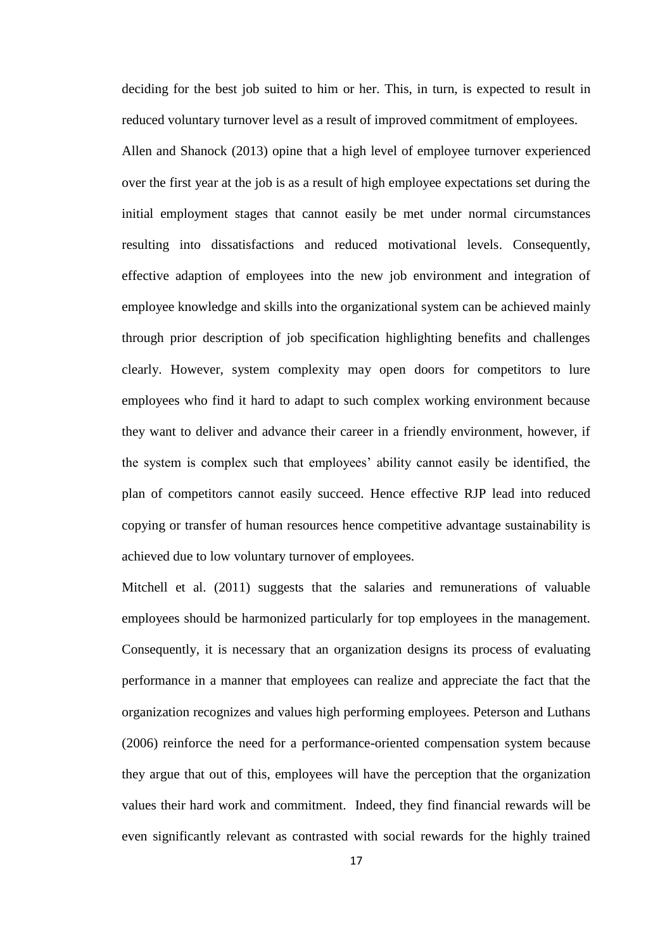deciding for the best job suited to him or her. This, in turn, is expected to result in reduced voluntary turnover level as a result of improved commitment of employees.

Allen and Shanock (2013) opine that a high level of employee turnover experienced over the first year at the job is as a result of high employee expectations set during the initial employment stages that cannot easily be met under normal circumstances resulting into dissatisfactions and reduced motivational levels. Consequently, effective adaption of employees into the new job environment and integration of employee knowledge and skills into the organizational system can be achieved mainly through prior description of job specification highlighting benefits and challenges clearly. However, system complexity may open doors for competitors to lure employees who find it hard to adapt to such complex working environment because they want to deliver and advance their career in a friendly environment, however, if the system is complex such that employees' ability cannot easily be identified, the plan of competitors cannot easily succeed. Hence effective RJP lead into reduced copying or transfer of human resources hence competitive advantage sustainability is achieved due to low voluntary turnover of employees.

Mitchell et al. (2011) suggests that the salaries and remunerations of valuable employees should be harmonized particularly for top employees in the management. Consequently, it is necessary that an organization designs its process of evaluating performance in a manner that employees can realize and appreciate the fact that the organization recognizes and values high performing employees. Peterson and Luthans (2006) reinforce the need for a performance-oriented compensation system because they argue that out of this, employees will have the perception that the organization values their hard work and commitment. Indeed, they find financial rewards will be even significantly relevant as contrasted with social rewards for the highly trained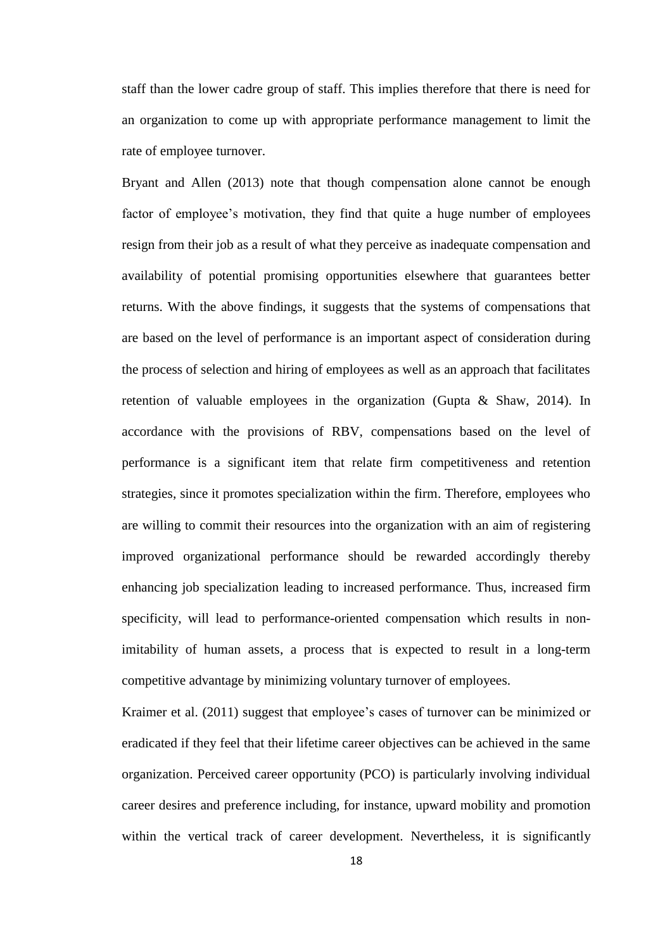staff than the lower cadre group of staff. This implies therefore that there is need for an organization to come up with appropriate performance management to limit the rate of employee turnover.

Bryant and Allen (2013) note that though compensation alone cannot be enough factor of employee's motivation, they find that quite a huge number of employees resign from their job as a result of what they perceive as inadequate compensation and availability of potential promising opportunities elsewhere that guarantees better returns. With the above findings, it suggests that the systems of compensations that are based on the level of performance is an important aspect of consideration during the process of selection and hiring of employees as well as an approach that facilitates retention of valuable employees in the organization (Gupta & Shaw, 2014). In accordance with the provisions of RBV, compensations based on the level of performance is a significant item that relate firm competitiveness and retention strategies, since it promotes specialization within the firm. Therefore, employees who are willing to commit their resources into the organization with an aim of registering improved organizational performance should be rewarded accordingly thereby enhancing job specialization leading to increased performance. Thus, increased firm specificity, will lead to performance-oriented compensation which results in nonimitability of human assets, a process that is expected to result in a long-term competitive advantage by minimizing voluntary turnover of employees.

Kraimer et al. (2011) suggest that employee's cases of turnover can be minimized or eradicated if they feel that their lifetime career objectives can be achieved in the same organization. Perceived career opportunity (PCO) is particularly involving individual career desires and preference including, for instance, upward mobility and promotion within the vertical track of career development. Nevertheless, it is significantly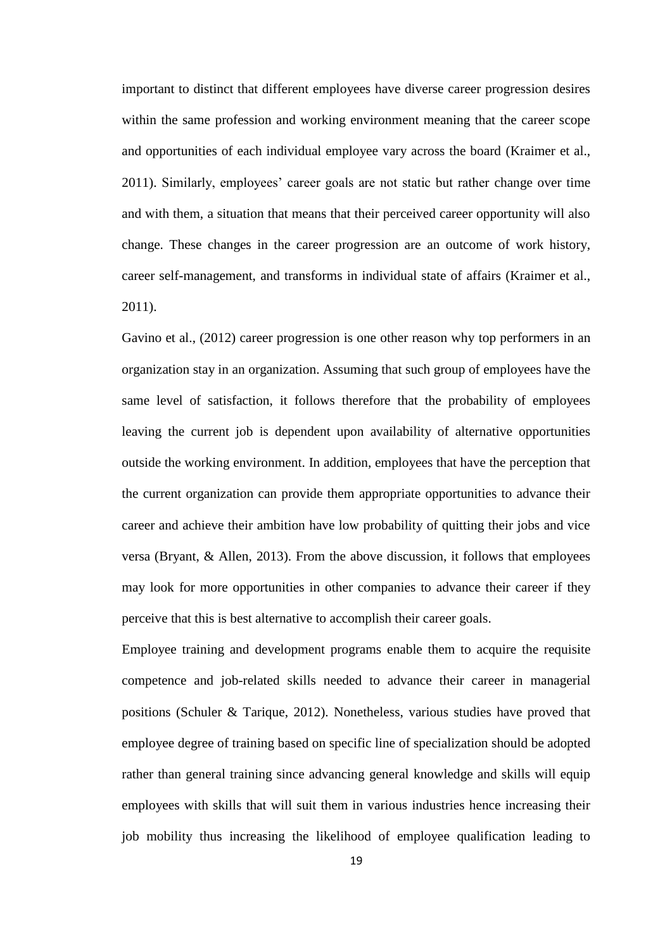important to distinct that different employees have diverse career progression desires within the same profession and working environment meaning that the career scope and opportunities of each individual employee vary across the board (Kraimer et al., 2011). Similarly, employees' career goals are not static but rather change over time and with them, a situation that means that their perceived career opportunity will also change. These changes in the career progression are an outcome of work history, career self-management, and transforms in individual state of affairs (Kraimer et al., 2011).

Gavino et al., (2012) career progression is one other reason why top performers in an organization stay in an organization. Assuming that such group of employees have the same level of satisfaction, it follows therefore that the probability of employees leaving the current job is dependent upon availability of alternative opportunities outside the working environment. In addition, employees that have the perception that the current organization can provide them appropriate opportunities to advance their career and achieve their ambition have low probability of quitting their jobs and vice versa (Bryant, & Allen, 2013). From the above discussion, it follows that employees may look for more opportunities in other companies to advance their career if they perceive that this is best alternative to accomplish their career goals.

Employee training and development programs enable them to acquire the requisite competence and job-related skills needed to advance their career in managerial positions (Schuler & Tarique, 2012). Nonetheless, various studies have proved that employee degree of training based on specific line of specialization should be adopted rather than general training since advancing general knowledge and skills will equip employees with skills that will suit them in various industries hence increasing their job mobility thus increasing the likelihood of employee qualification leading to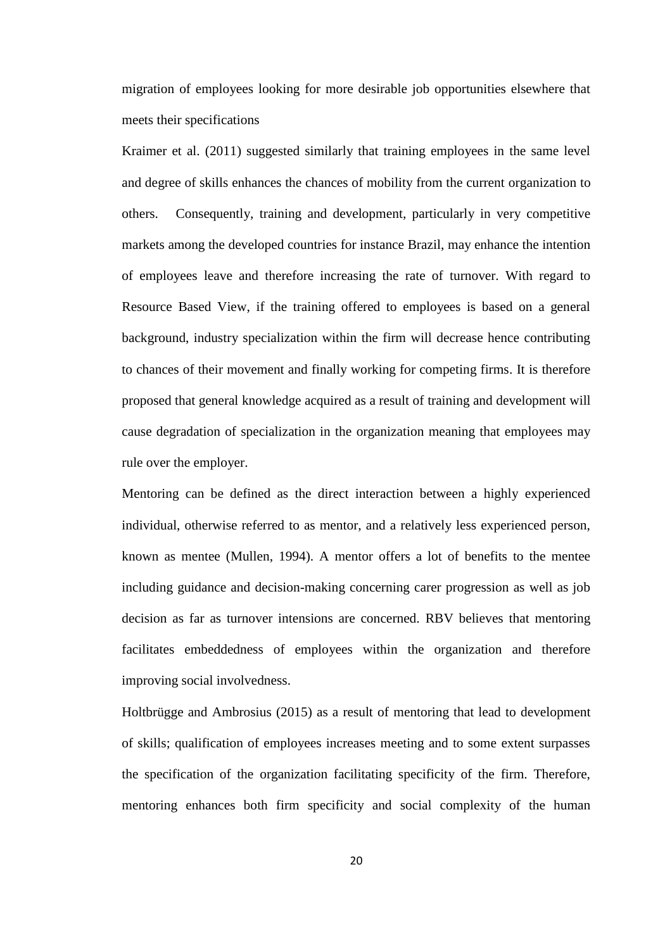migration of employees looking for more desirable job opportunities elsewhere that meets their specifications

Kraimer et al. (2011) suggested similarly that training employees in the same level and degree of skills enhances the chances of mobility from the current organization to others. Consequently, training and development, particularly in very competitive markets among the developed countries for instance Brazil, may enhance the intention of employees leave and therefore increasing the rate of turnover. With regard to Resource Based View, if the training offered to employees is based on a general background, industry specialization within the firm will decrease hence contributing to chances of their movement and finally working for competing firms. It is therefore proposed that general knowledge acquired as a result of training and development will cause degradation of specialization in the organization meaning that employees may rule over the employer.

Mentoring can be defined as the direct interaction between a highly experienced individual, otherwise referred to as mentor, and a relatively less experienced person, known as mentee (Mullen, 1994). A mentor offers a lot of benefits to the mentee including guidance and decision-making concerning carer progression as well as job decision as far as turnover intensions are concerned. RBV believes that mentoring facilitates embeddedness of employees within the organization and therefore improving social involvedness.

Holtbrügge and Ambrosius (2015) as a result of mentoring that lead to development of skills; qualification of employees increases meeting and to some extent surpasses the specification of the organization facilitating specificity of the firm. Therefore, mentoring enhances both firm specificity and social complexity of the human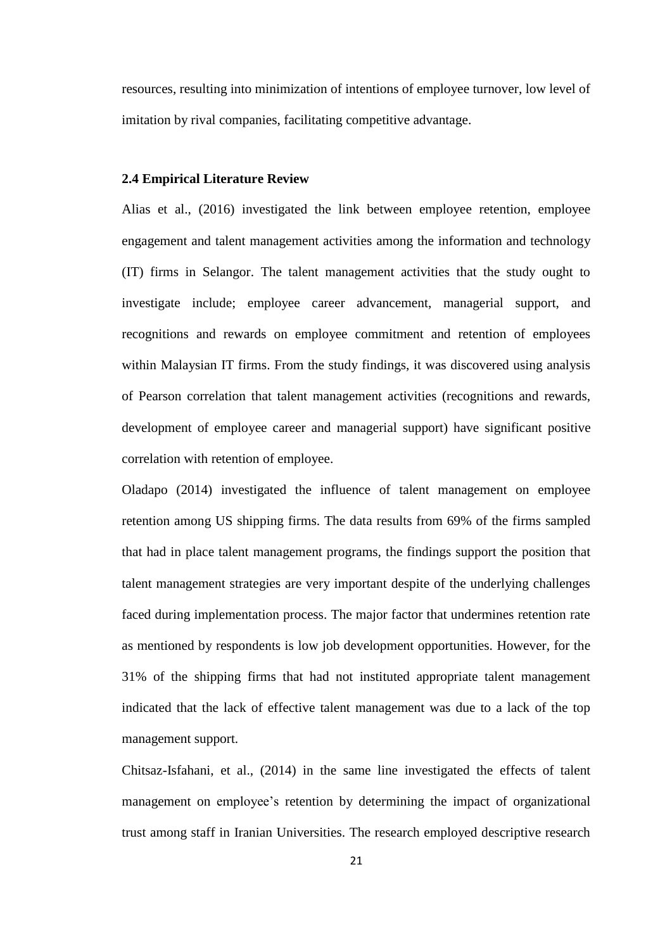resources, resulting into minimization of intentions of employee turnover, low level of imitation by rival companies, facilitating competitive advantage.

#### <span id="page-31-0"></span>**2.4 Empirical Literature Review**

Alias et al., (2016) investigated the link between employee retention, employee engagement and talent management activities among the information and technology (IT) firms in Selangor. The talent management activities that the study ought to investigate include; employee career advancement, managerial support, and recognitions and rewards on employee commitment and retention of employees within Malaysian IT firms. From the study findings, it was discovered using analysis of Pearson correlation that talent management activities (recognitions and rewards, development of employee career and managerial support) have significant positive correlation with retention of employee.

Oladapo (2014) investigated the influence of talent management on employee retention among US shipping firms. The data results from 69% of the firms sampled that had in place talent management programs, the findings support the position that talent management strategies are very important despite of the underlying challenges faced during implementation process. The major factor that undermines retention rate as mentioned by respondents is low job development opportunities. However, for the 31% of the shipping firms that had not instituted appropriate talent management indicated that the lack of effective talent management was due to a lack of the top management support.

Chitsaz-Isfahani, et al., (2014) in the same line investigated the effects of talent management on employee's retention by determining the impact of organizational trust among staff in Iranian Universities. The research employed descriptive research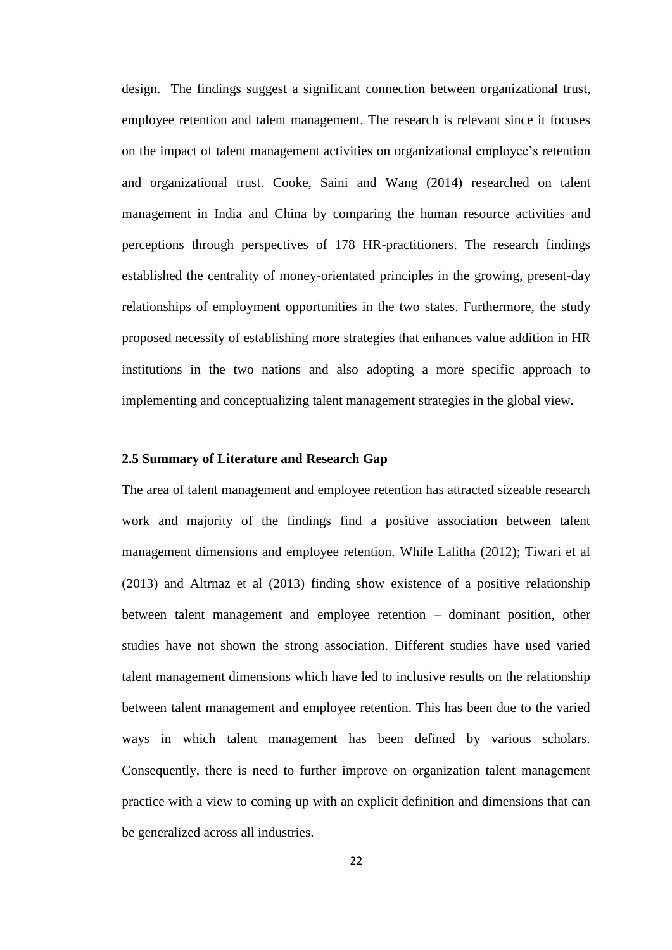design. The findings suggest a significant connection between organizational trust, employee retention and talent management. The research is relevant since it focuses on the impact of talent management activities on organizational employee's retention and organizational trust. Cooke, Saini and Wang (2014) researched on talent management in India and China by comparing the human resource activities and perceptions through perspectives of 178 HR-practitioners. The research findings established the centrality of money-orientated principles in the growing, present-day relationships of employment opportunities in the two states. Furthermore, the study proposed necessity of establishing more strategies that enhances value addition in HR institutions in the two nations and also adopting a more specific approach to implementing and conceptualizing talent management strategies in the global view.

#### <span id="page-32-0"></span>**2.5 Summary of Literature and Research Gap**

The area of talent management and employee retention has attracted sizeable research work and majority of the findings find a positive association between talent management dimensions and employee retention. While Lalitha (2012); Tiwari et al (2013) and Altrnaz et al (2013) finding show existence of a positive relationship between talent management and employee retention – dominant position, other studies have not shown the strong association. Different studies have used varied talent management dimensions which have led to inclusive results on the relationship between talent management and employee retention. This has been due to the varied ways in which talent management has been defined by various scholars. Consequently, there is need to further improve on organization talent management practice with a view to coming up with an explicit definition and dimensions that can be generalized across all industries.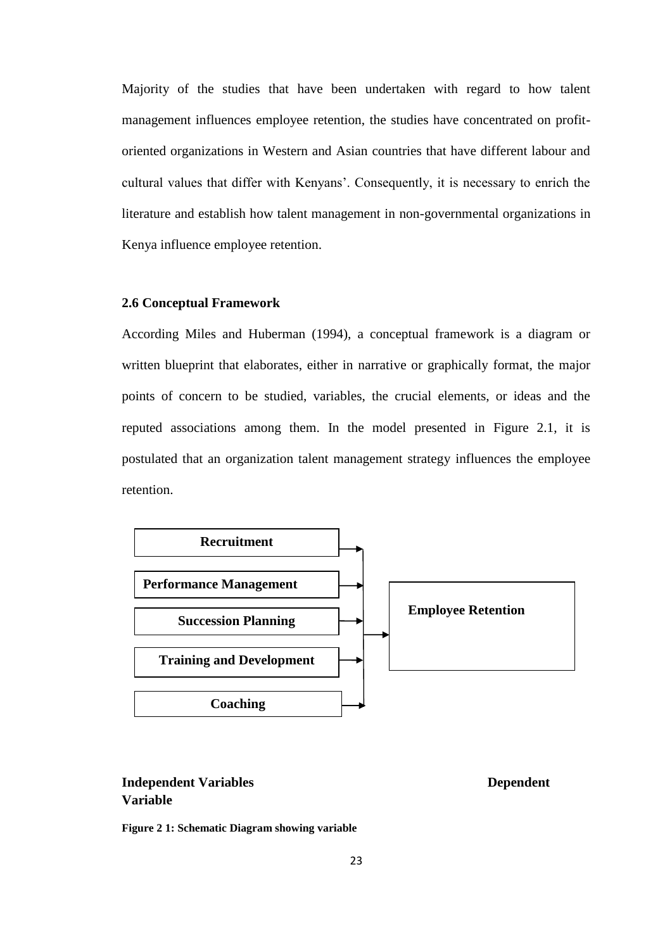Majority of the studies that have been undertaken with regard to how talent management influences employee retention, the studies have concentrated on profitoriented organizations in Western and Asian countries that have different labour and cultural values that differ with Kenyans'. Consequently, it is necessary to enrich the literature and establish how talent management in non-governmental organizations in Kenya influence employee retention.

#### <span id="page-33-0"></span>**2.6 Conceptual Framework**

According Miles and Huberman (1994), a conceptual framework is a diagram or written blueprint that elaborates, either in narrative or graphically format, the major points of concern to be studied, variables, the crucial elements, or ideas and the reputed associations among them. In the model presented in Figure 2.1, it is postulated that an organization talent management strategy influences the employee retention.



## **Independent Variables Dependent Variable**

<span id="page-33-1"></span>**Figure 2 1: Schematic Diagram showing variable**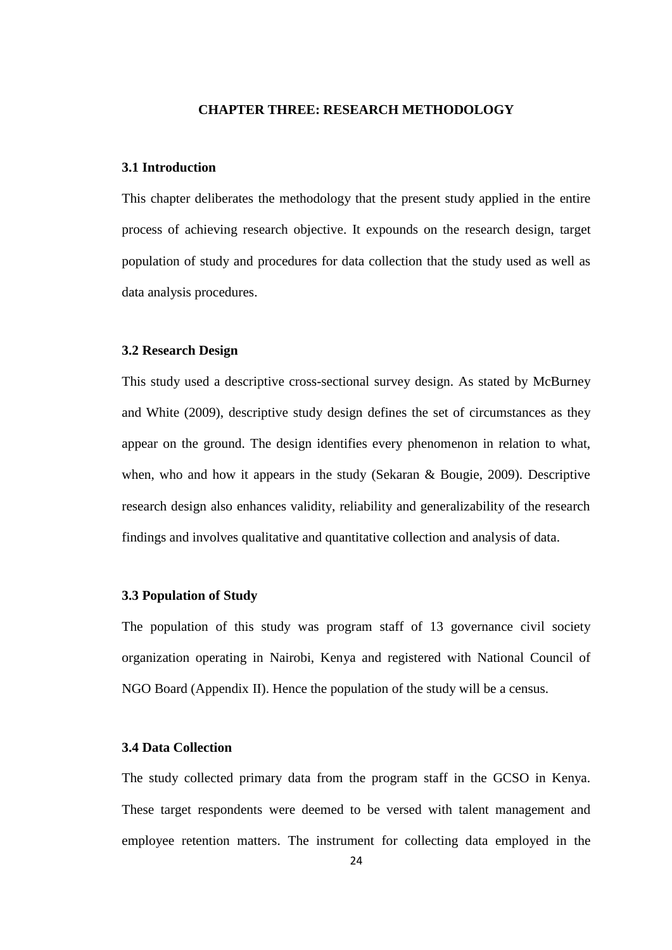#### **CHAPTER THREE: RESEARCH METHODOLOGY**

## <span id="page-34-1"></span><span id="page-34-0"></span>**3.1 Introduction**

This chapter deliberates the methodology that the present study applied in the entire process of achieving research objective. It expounds on the research design, target population of study and procedures for data collection that the study used as well as data analysis procedures.

#### <span id="page-34-2"></span>**3.2 Research Design**

This study used a descriptive cross-sectional survey design. As stated by McBurney and White (2009), descriptive study design defines the set of circumstances as they appear on the ground. The design identifies every phenomenon in relation to what, when, who and how it appears in the study (Sekaran & Bougie, 2009). Descriptive research design also enhances validity, reliability and generalizability of the research findings and involves qualitative and quantitative collection and analysis of data.

#### <span id="page-34-3"></span>**3.3 Population of Study**

The population of this study was program staff of 13 governance civil society organization operating in Nairobi, Kenya and registered with National Council of NGO Board (Appendix II). Hence the population of the study will be a census.

## <span id="page-34-4"></span>**3.4 Data Collection**

The study collected primary data from the program staff in the GCSO in Kenya. These target respondents were deemed to be versed with talent management and employee retention matters. The instrument for collecting data employed in the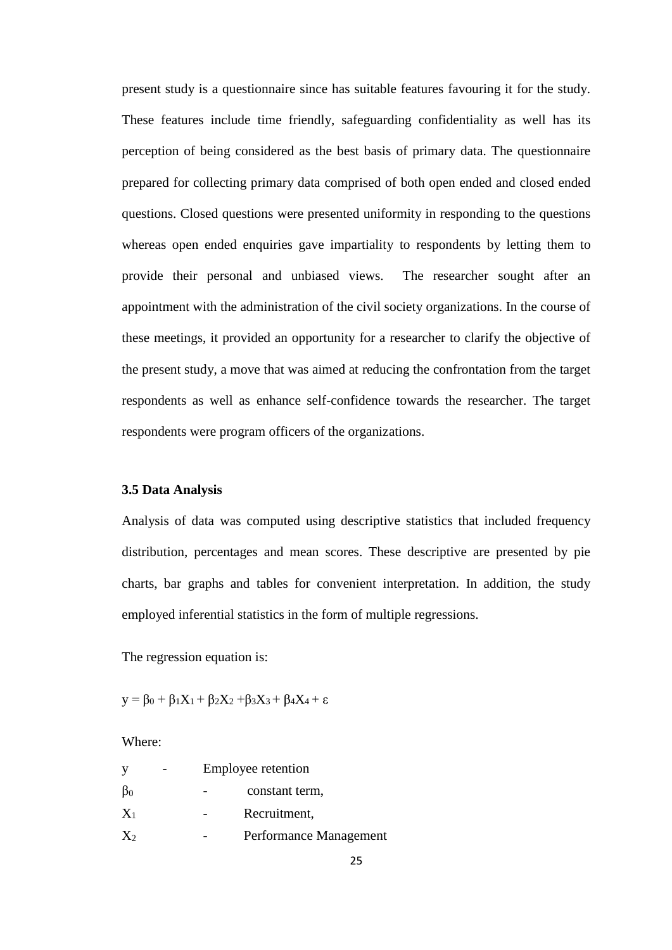present study is a questionnaire since has suitable features favouring it for the study. These features include time friendly, safeguarding confidentiality as well has its perception of being considered as the best basis of primary data. The questionnaire prepared for collecting primary data comprised of both open ended and closed ended questions. Closed questions were presented uniformity in responding to the questions whereas open ended enquiries gave impartiality to respondents by letting them to provide their personal and unbiased views. The researcher sought after an appointment with the administration of the civil society organizations. In the course of these meetings, it provided an opportunity for a researcher to clarify the objective of the present study, a move that was aimed at reducing the confrontation from the target respondents as well as enhance self-confidence towards the researcher. The target respondents were program officers of the organizations.

#### <span id="page-35-0"></span>**3.5 Data Analysis**

Analysis of data was computed using descriptive statistics that included frequency distribution, percentages and mean scores. These descriptive are presented by pie charts, bar graphs and tables for convenient interpretation. In addition, the study employed inferential statistics in the form of multiple regressions.

The regression equation is:

 $y = \beta_0 + \beta_1 X_1 + \beta_2 X_2 + \beta_3 X_3 + \beta_4 X_4 + \varepsilon$ 

Where:

|           |  | Employee retention     |
|-----------|--|------------------------|
| $\beta_0$ |  | constant term,         |
| $X_1$     |  | Recruitment,           |
| $X_2$     |  | Performance Management |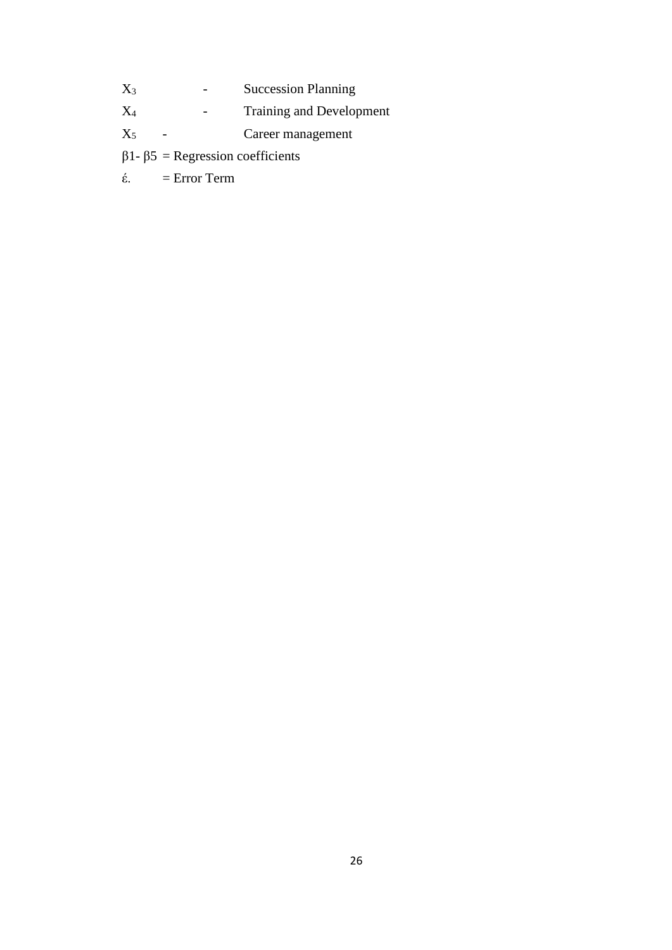- X<sub>3</sub> Succession Planning
- X<sub>4</sub> Training and Development
- X<sup>5</sup> Career management
- β1- β5 = Regression coefficients
- έ. = Error Term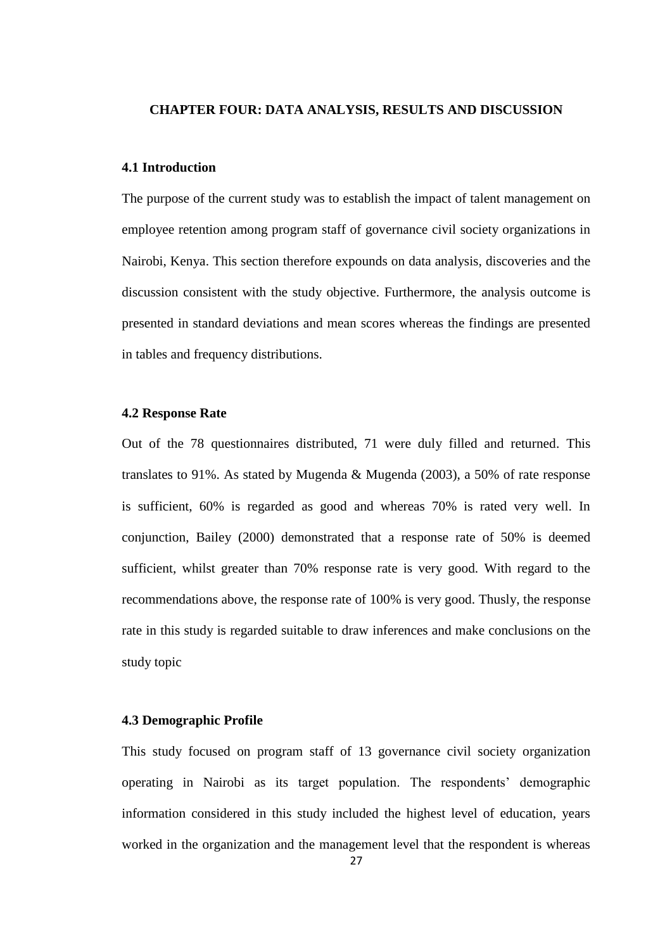#### <span id="page-37-0"></span>**CHAPTER FOUR: DATA ANALYSIS, RESULTS AND DISCUSSION**

## <span id="page-37-1"></span>**4.1 Introduction**

The purpose of the current study was to establish the impact of talent management on employee retention among program staff of governance civil society organizations in Nairobi, Kenya. This section therefore expounds on data analysis, discoveries and the discussion consistent with the study objective. Furthermore, the analysis outcome is presented in standard deviations and mean scores whereas the findings are presented in tables and frequency distributions.

#### <span id="page-37-2"></span>**4.2 Response Rate**

Out of the 78 questionnaires distributed, 71 were duly filled and returned. This translates to 91%. As stated by Mugenda & Mugenda (2003), a 50% of rate response is sufficient, 60% is regarded as good and whereas 70% is rated very well. In conjunction, Bailey (2000) demonstrated that a response rate of 50% is deemed sufficient, whilst greater than 70% response rate is very good. With regard to the recommendations above, the response rate of 100% is very good. Thusly, the response rate in this study is regarded suitable to draw inferences and make conclusions on the study topic

#### <span id="page-37-3"></span>**4.3 Demographic Profile**

This study focused on program staff of 13 governance civil society organization operating in Nairobi as its target population. The respondents' demographic information considered in this study included the highest level of education, years worked in the organization and the management level that the respondent is whereas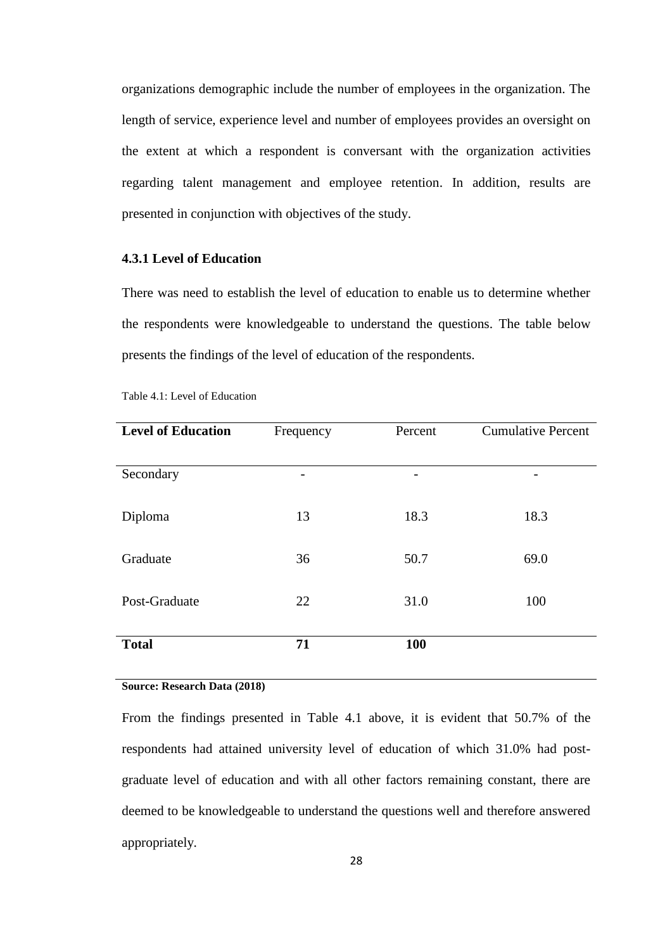organizations demographic include the number of employees in the organization. The length of service, experience level and number of employees provides an oversight on the extent at which a respondent is conversant with the organization activities regarding talent management and employee retention. In addition, results are presented in conjunction with objectives of the study.

## <span id="page-38-0"></span>**4.3.1 Level of Education**

There was need to establish the level of education to enable us to determine whether the respondents were knowledgeable to understand the questions. The table below presents the findings of the level of education of the respondents.

| <b>Level of Education</b> | Frequency | Percent | <b>Cumulative Percent</b> |
|---------------------------|-----------|---------|---------------------------|
|                           |           |         |                           |
| Secondary                 |           |         |                           |
|                           |           |         |                           |
| Diploma                   | 13        | 18.3    | 18.3                      |
|                           |           |         |                           |
| Graduate                  | 36        | 50.7    | 69.0                      |
|                           |           |         |                           |
| Post-Graduate             | 22        | 31.0    | 100                       |
|                           |           |         |                           |
| <b>Total</b>              | 71        | 100     |                           |

|  | Table 4.1: Level of Education |
|--|-------------------------------|
|--|-------------------------------|

#### **Source: Research Data (2018)**

From the findings presented in Table 4.1 above, it is evident that 50.7% of the respondents had attained university level of education of which 31.0% had postgraduate level of education and with all other factors remaining constant, there are deemed to be knowledgeable to understand the questions well and therefore answered appropriately.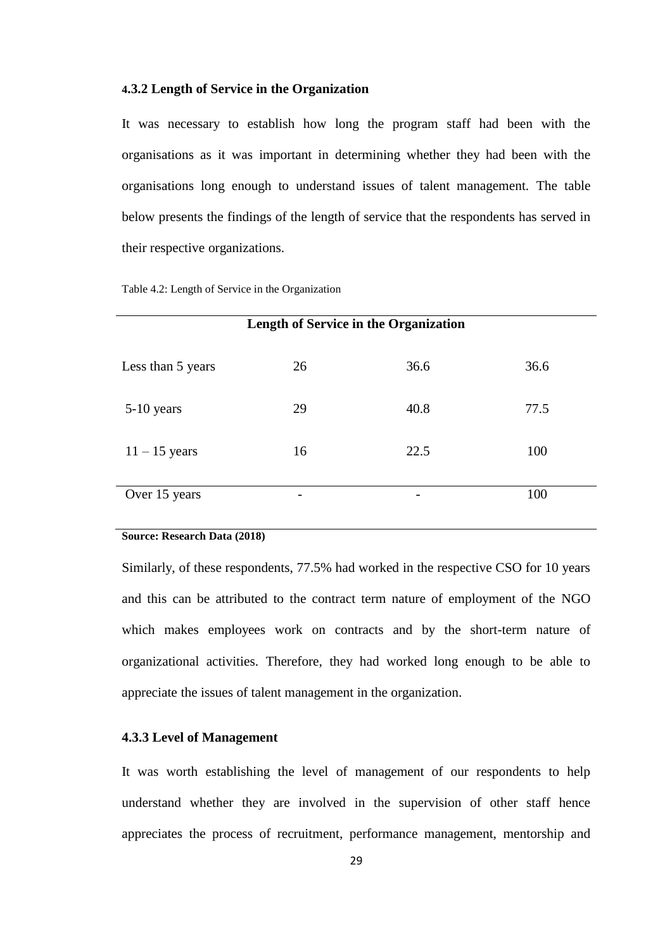#### <span id="page-39-0"></span>**4.3.2 Length of Service in the Organization**

It was necessary to establish how long the program staff had been with the organisations as it was important in determining whether they had been with the organisations long enough to understand issues of talent management. The table below presents the findings of the length of service that the respondents has served in their respective organizations.

Table 4.2: Length of Service in the Organization

| <b>Length of Service in the Organization</b> |    |      |      |  |
|----------------------------------------------|----|------|------|--|
| Less than 5 years                            | 26 | 36.6 | 36.6 |  |
| 5-10 years                                   | 29 | 40.8 | 77.5 |  |
| $11 - 15$ years                              | 16 | 22.5 | 100  |  |
| Over 15 years                                |    |      | 100  |  |

#### **Source: Research Data (2018)**

Similarly, of these respondents, 77.5% had worked in the respective CSO for 10 years and this can be attributed to the contract term nature of employment of the NGO which makes employees work on contracts and by the short-term nature of organizational activities. Therefore, they had worked long enough to be able to appreciate the issues of talent management in the organization.

#### <span id="page-39-1"></span>**4.3.3 Level of Management**

It was worth establishing the level of management of our respondents to help understand whether they are involved in the supervision of other staff hence appreciates the process of recruitment, performance management, mentorship and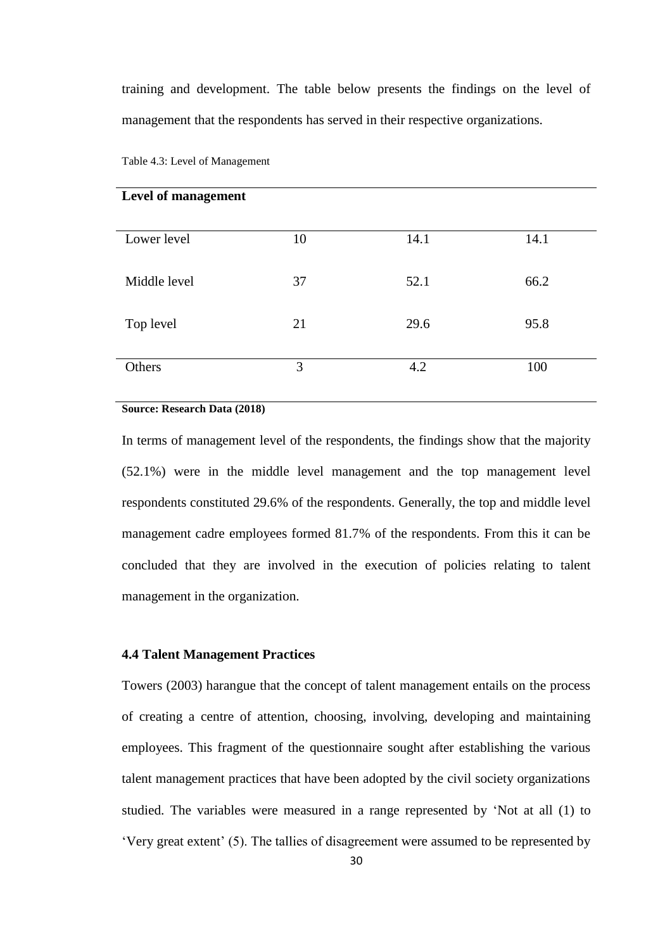training and development. The table below presents the findings on the level of management that the respondents has served in their respective organizations.

| Lower level  | 10 | 14.1 | 14.1 |
|--------------|----|------|------|
| Middle level | 37 | 52.1 | 66.2 |
| Top level    | 21 | 29.6 | 95.8 |
| Others       | 3  | 4.2  | 100  |

Table 4.3: Level of Management

**Level of management**

#### **Source: Research Data (2018)**

In terms of management level of the respondents, the findings show that the majority (52.1%) were in the middle level management and the top management level respondents constituted 29.6% of the respondents. Generally, the top and middle level management cadre employees formed 81.7% of the respondents. From this it can be concluded that they are involved in the execution of policies relating to talent management in the organization.

#### <span id="page-40-0"></span>**4.4 Talent Management Practices**

Towers (2003) harangue that the concept of talent management entails on the process of creating a centre of attention, choosing, involving, developing and maintaining employees. This fragment of the questionnaire sought after establishing the various talent management practices that have been adopted by the civil society organizations studied. The variables were measured in a range represented by 'Not at all (1) to 'Very great extent' (5). The tallies of disagreement were assumed to be represented by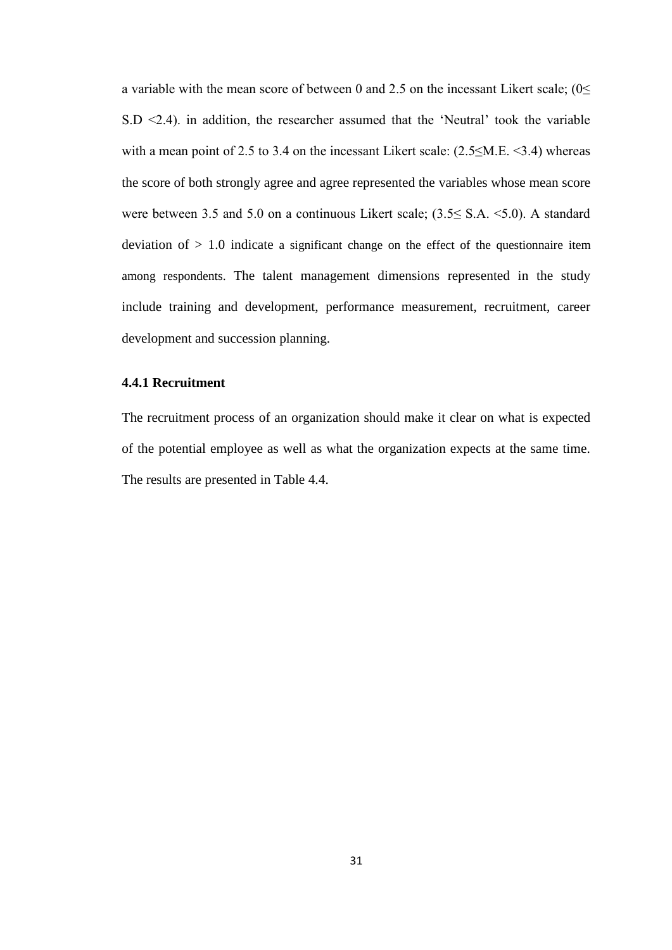a variable with the mean score of between 0 and 2.5 on the incessant Likert scale;  $(0 \leq$  $S.D < 2.4$ ). in addition, the researcher assumed that the 'Neutral' took the variable with a mean point of 2.5 to 3.4 on the incessant Likert scale:  $(2.5 \le M.E. \le 3.4)$  whereas the score of both strongly agree and agree represented the variables whose mean score were between 3.5 and 5.0 on a continuous Likert scale; (3.5≤ S.A. <5.0). A standard deviation of  $> 1.0$  indicate a significant change on the effect of the questionnaire item among respondents. The talent management dimensions represented in the study include training and development, performance measurement, recruitment, career development and succession planning.

#### <span id="page-41-0"></span>**4.4.1 Recruitment**

The recruitment process of an organization should make it clear on what is expected of the potential employee as well as what the organization expects at the same time. The results are presented in Table 4.4.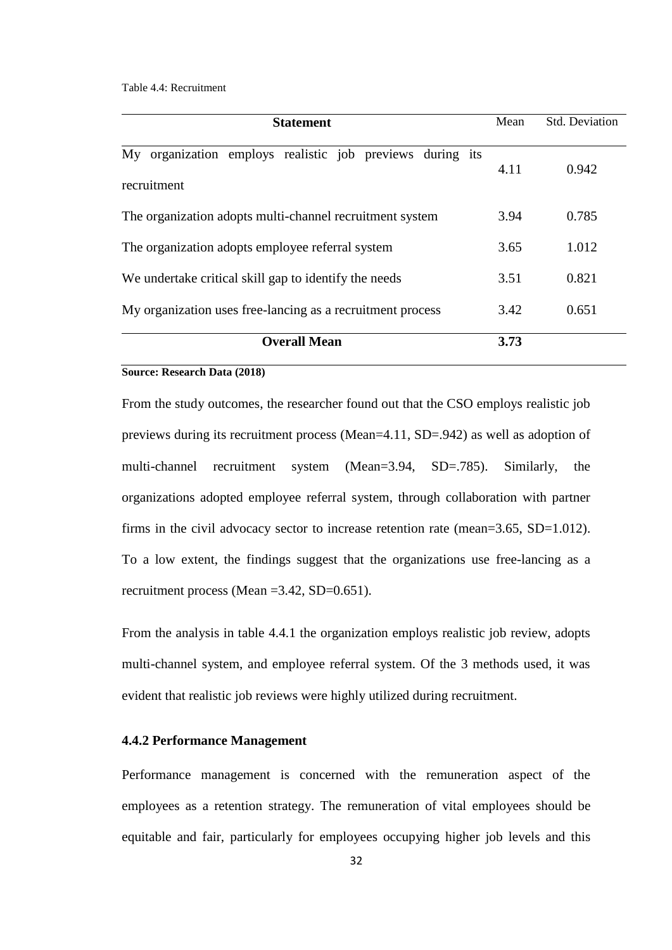Table 4.4: Recruitment

| <b>Statement</b>                                                         |      | <b>Std. Deviation</b> |
|--------------------------------------------------------------------------|------|-----------------------|
| My organization employs realistic job previews during its<br>recruitment | 4.11 | 0.942                 |
| The organization adopts multi-channel recruitment system                 | 3.94 | 0.785                 |
| The organization adopts employee referral system                         |      | 1.012                 |
| We undertake critical skill gap to identify the needs                    | 3.51 | 0.821                 |
| My organization uses free-lancing as a recruitment process               | 3.42 | 0.651                 |
| <b>Overall Mean</b>                                                      | 3.73 |                       |

#### **Source: Research Data (2018)**

From the study outcomes, the researcher found out that the CSO employs realistic job previews during its recruitment process (Mean=4.11, SD=.942) as well as adoption of multi-channel recruitment system (Mean=3.94, SD=.785). Similarly, the organizations adopted employee referral system, through collaboration with partner firms in the civil advocacy sector to increase retention rate (mean=3.65, SD=1.012). To a low extent, the findings suggest that the organizations use free-lancing as a recruitment process (Mean =3.42, SD=0.651).

From the analysis in table 4.4.1 the organization employs realistic job review, adopts multi-channel system, and employee referral system. Of the 3 methods used, it was evident that realistic job reviews were highly utilized during recruitment.

## <span id="page-42-0"></span>**4.4.2 Performance Management**

Performance management is concerned with the remuneration aspect of the employees as a retention strategy. The remuneration of vital employees should be equitable and fair, particularly for employees occupying higher job levels and this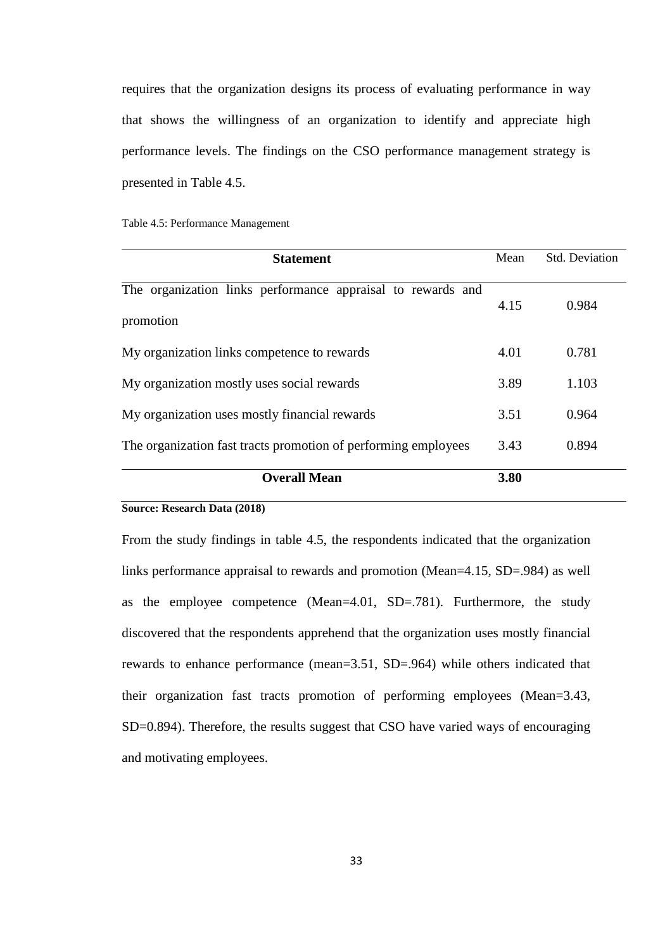requires that the organization designs its process of evaluating performance in way that shows the willingness of an organization to identify and appreciate high performance levels. The findings on the CSO performance management strategy is presented in Table 4.5.

|  | Table 4.5: Performance Management |  |
|--|-----------------------------------|--|
|--|-----------------------------------|--|

| <b>Statement</b>                                                         | Mean | <b>Std. Deviation</b> |
|--------------------------------------------------------------------------|------|-----------------------|
| The organization links performance appraisal to rewards and<br>promotion | 4.15 | 0.984                 |
| My organization links competence to rewards                              | 4.01 | 0.781                 |
| My organization mostly uses social rewards                               | 3.89 | 1.103                 |
| My organization uses mostly financial rewards                            | 3.51 | 0.964                 |
| The organization fast tracts promotion of performing employees           | 3.43 | 0.894                 |
| <b>Overall Mean</b>                                                      | 3.80 |                       |

#### **Source: Research Data (2018)**

From the study findings in table 4.5, the respondents indicated that the organization links performance appraisal to rewards and promotion (Mean=4.15, SD=.984) as well as the employee competence (Mean=4.01, SD=.781). Furthermore, the study discovered that the respondents apprehend that the organization uses mostly financial rewards to enhance performance (mean=3.51, SD=.964) while others indicated that their organization fast tracts promotion of performing employees (Mean=3.43, SD=0.894). Therefore, the results suggest that CSO have varied ways of encouraging and motivating employees.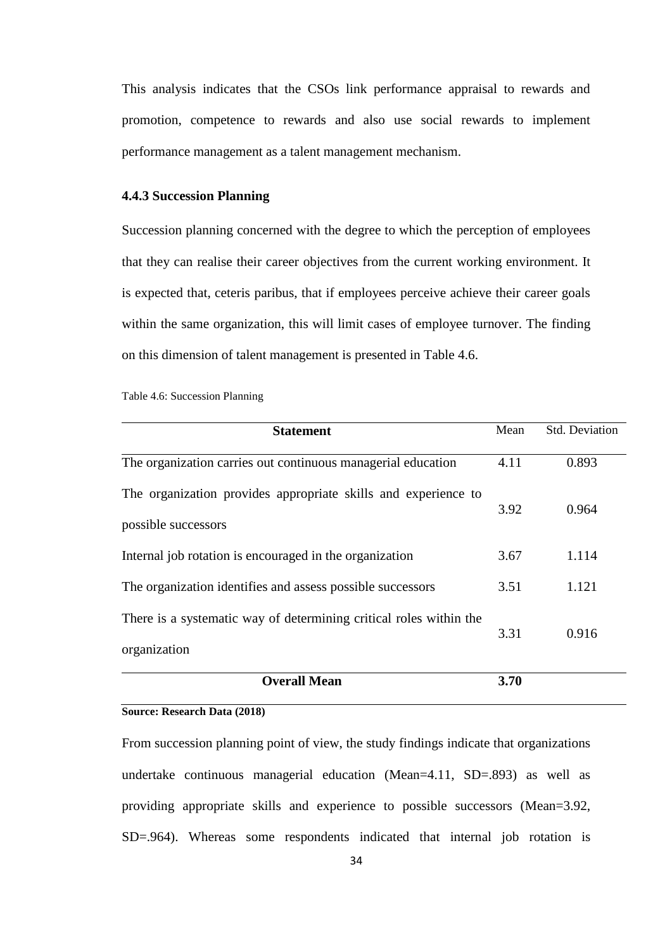This analysis indicates that the CSOs link performance appraisal to rewards and promotion, competence to rewards and also use social rewards to implement performance management as a talent management mechanism.

#### <span id="page-44-0"></span>**4.4.3 Succession Planning**

Succession planning concerned with the degree to which the perception of employees that they can realise their career objectives from the current working environment. It is expected that, ceteris paribus, that if employees perceive achieve their career goals within the same organization, this will limit cases of employee turnover. The finding on this dimension of talent management is presented in Table 4.6.

Table 4.6: Succession Planning

| <b>Statement</b>                                                                      | Mean | <b>Std. Deviation</b> |
|---------------------------------------------------------------------------------------|------|-----------------------|
| The organization carries out continuous managerial education                          | 4.11 | 0.893                 |
| The organization provides appropriate skills and experience to<br>possible successors | 3.92 | 0.964                 |
| Internal job rotation is encouraged in the organization                               | 3.67 | 1.114                 |
| The organization identifies and assess possible successors                            | 3.51 | 1.121                 |
| There is a systematic way of determining critical roles within the<br>organization    | 3.31 | 0.916                 |
| <b>Overall Mean</b>                                                                   | 3.70 |                       |

#### **Source: Research Data (2018)**

From succession planning point of view, the study findings indicate that organizations undertake continuous managerial education (Mean=4.11, SD=.893) as well as providing appropriate skills and experience to possible successors (Mean=3.92, SD=.964). Whereas some respondents indicated that internal job rotation is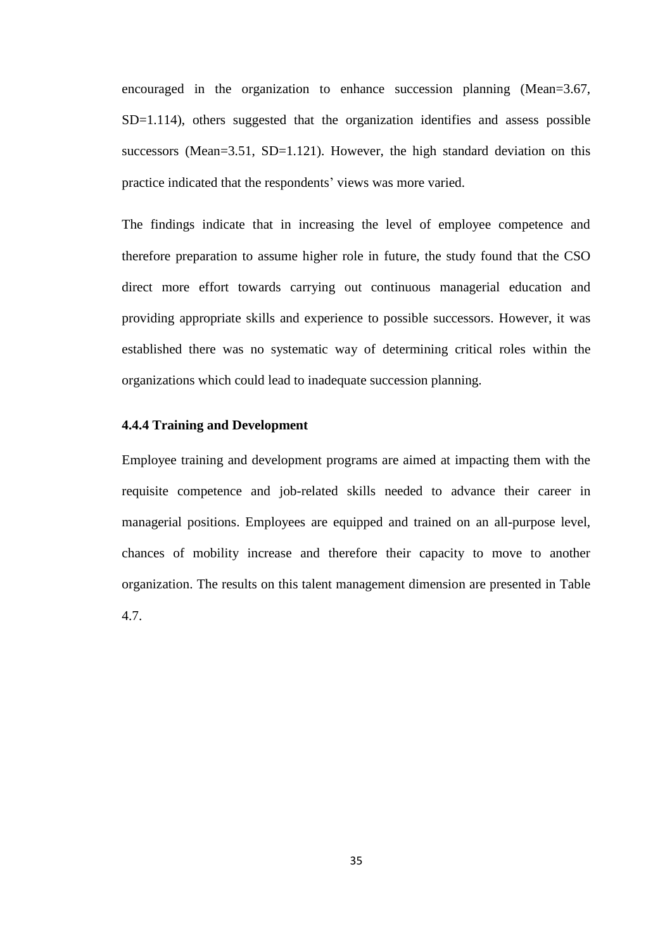encouraged in the organization to enhance succession planning (Mean=3.67, SD=1.114), others suggested that the organization identifies and assess possible successors (Mean=3.51, SD=1.121). However, the high standard deviation on this practice indicated that the respondents' views was more varied.

The findings indicate that in increasing the level of employee competence and therefore preparation to assume higher role in future, the study found that the CSO direct more effort towards carrying out continuous managerial education and providing appropriate skills and experience to possible successors. However, it was established there was no systematic way of determining critical roles within the organizations which could lead to inadequate succession planning.

## <span id="page-45-0"></span>**4.4.4 Training and Development**

Employee training and development programs are aimed at impacting them with the requisite competence and job-related skills needed to advance their career in managerial positions. Employees are equipped and trained on an all-purpose level, chances of mobility increase and therefore their capacity to move to another organization. The results on this talent management dimension are presented in Table 4.7.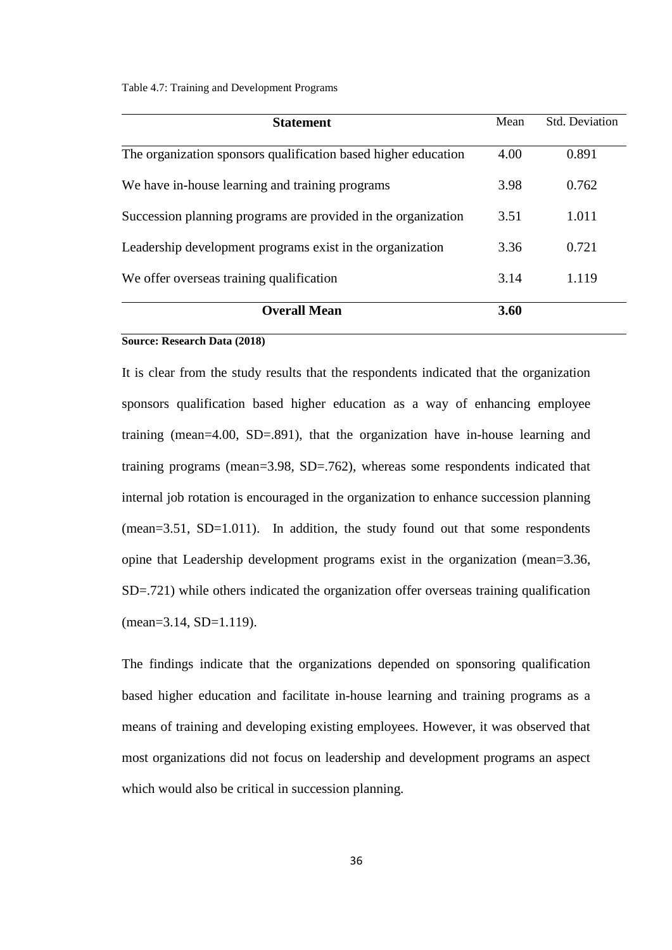Table 4.7: Training and Development Programs

| <b>Statement</b>                                               | Mean | <b>Std.</b> Deviation |
|----------------------------------------------------------------|------|-----------------------|
| The organization sponsors qualification based higher education | 4.00 | 0.891                 |
| We have in-house learning and training programs                | 3.98 | 0.762                 |
| Succession planning programs are provided in the organization  | 3.51 | 1.011                 |
| Leadership development programs exist in the organization      | 3.36 | 0.721                 |
| We offer overseas training qualification                       | 3.14 | 1.119                 |
| <b>Overall Mean</b>                                            | 3.60 |                       |

#### **Source: Research Data (2018)**

It is clear from the study results that the respondents indicated that the organization sponsors qualification based higher education as a way of enhancing employee training (mean=4.00, SD=.891), that the organization have in-house learning and training programs (mean=3.98, SD=.762), whereas some respondents indicated that internal job rotation is encouraged in the organization to enhance succession planning (mean=3.51, SD=1.011). In addition, the study found out that some respondents opine that Leadership development programs exist in the organization (mean=3.36, SD=.721) while others indicated the organization offer overseas training qualification (mean=3.14, SD=1.119).

The findings indicate that the organizations depended on sponsoring qualification based higher education and facilitate in-house learning and training programs as a means of training and developing existing employees. However, it was observed that most organizations did not focus on leadership and development programs an aspect which would also be critical in succession planning.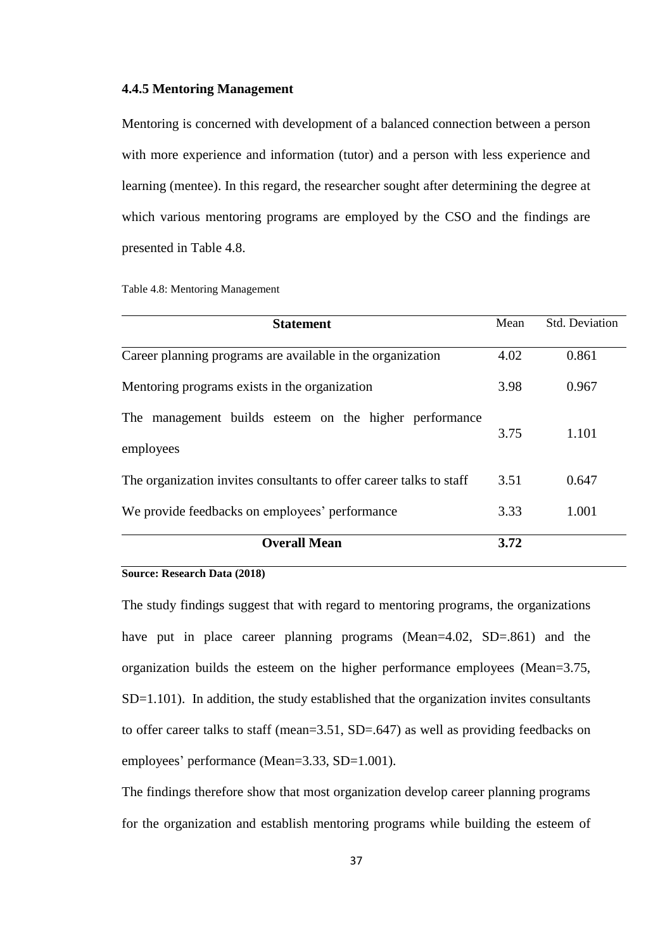#### <span id="page-47-0"></span>**4.4.5 Mentoring Management**

Mentoring is concerned with development of a balanced connection between a person with more experience and information (tutor) and a person with less experience and learning (mentee). In this regard, the researcher sought after determining the degree at which various mentoring programs are employed by the CSO and the findings are presented in Table 4.8.

|  |  | Table 4.8: Mentoring Management |
|--|--|---------------------------------|
|--|--|---------------------------------|

| <b>Statement</b>                                                    | Mean | <b>Std. Deviation</b> |
|---------------------------------------------------------------------|------|-----------------------|
| Career planning programs are available in the organization          | 4.02 | 0.861                 |
| Mentoring programs exists in the organization                       | 3.98 | 0.967                 |
| The management builds esteem on the higher performance<br>employees | 3.75 | 1.101                 |
| The organization invites consultants to offer career talks to staff | 3.51 | 0.647                 |
| We provide feedbacks on employees' performance                      | 3.33 | 1.001                 |
| <b>Overall Mean</b>                                                 | 3.72 |                       |

#### **Source: Research Data (2018)**

The study findings suggest that with regard to mentoring programs, the organizations have put in place career planning programs (Mean=4.02, SD=.861) and the organization builds the esteem on the higher performance employees (Mean=3.75, SD=1.101). In addition, the study established that the organization invites consultants to offer career talks to staff (mean=3.51, SD=.647) as well as providing feedbacks on employees' performance (Mean=3.33, SD=1.001).

The findings therefore show that most organization develop career planning programs for the organization and establish mentoring programs while building the esteem of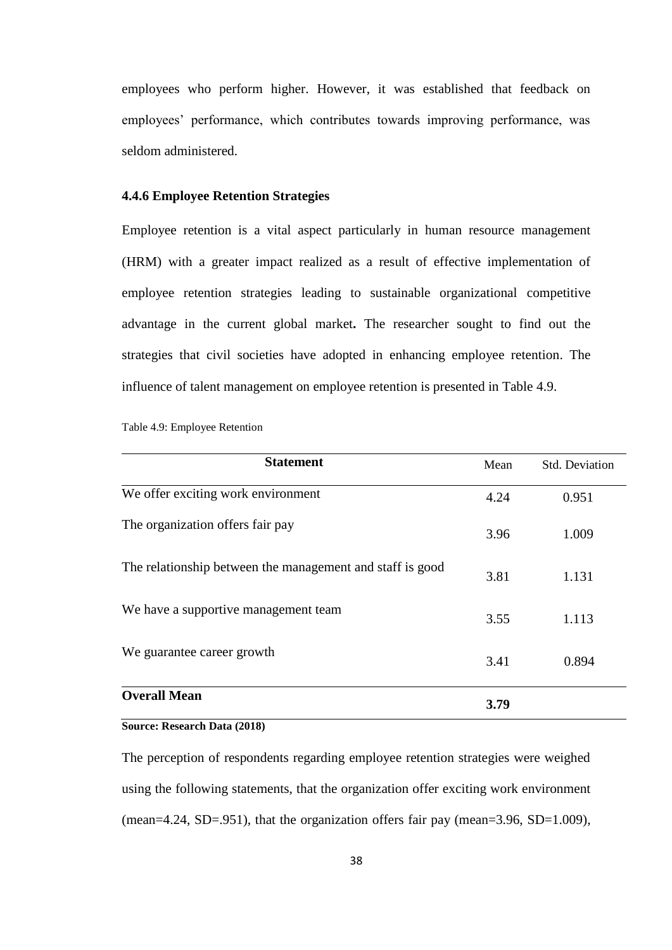employees who perform higher. However, it was established that feedback on employees' performance, which contributes towards improving performance, was seldom administered.

#### <span id="page-48-0"></span>**4.4.6 Employee Retention Strategies**

Employee retention is a vital aspect particularly in human resource management (HRM) with a greater impact realized as a result of effective implementation of employee retention strategies leading to sustainable organizational competitive advantage in the current global market**.** The researcher sought to find out the strategies that civil societies have adopted in enhancing employee retention. The influence of talent management on employee retention is presented in Table 4.9.

| Table 4.9: Employee Retention |  |  |
|-------------------------------|--|--|
|-------------------------------|--|--|

| <b>Statement</b>                                          | Mean | <b>Std. Deviation</b> |
|-----------------------------------------------------------|------|-----------------------|
| We offer exciting work environment                        | 4.24 | 0.951                 |
| The organization offers fair pay                          | 3.96 | 1.009                 |
| The relationship between the management and staff is good | 3.81 | 1.131                 |
| We have a supportive management team                      | 3.55 | 1.113                 |
| We guarantee career growth                                | 3.41 | 0.894                 |
| <b>Overall Mean</b>                                       | 3.79 |                       |

#### **Source: Research Data (2018)**

The perception of respondents regarding employee retention strategies were weighed using the following statements, that the organization offer exciting work environment (mean=4.24, SD=.951), that the organization offers fair pay (mean=3.96, SD=1.009),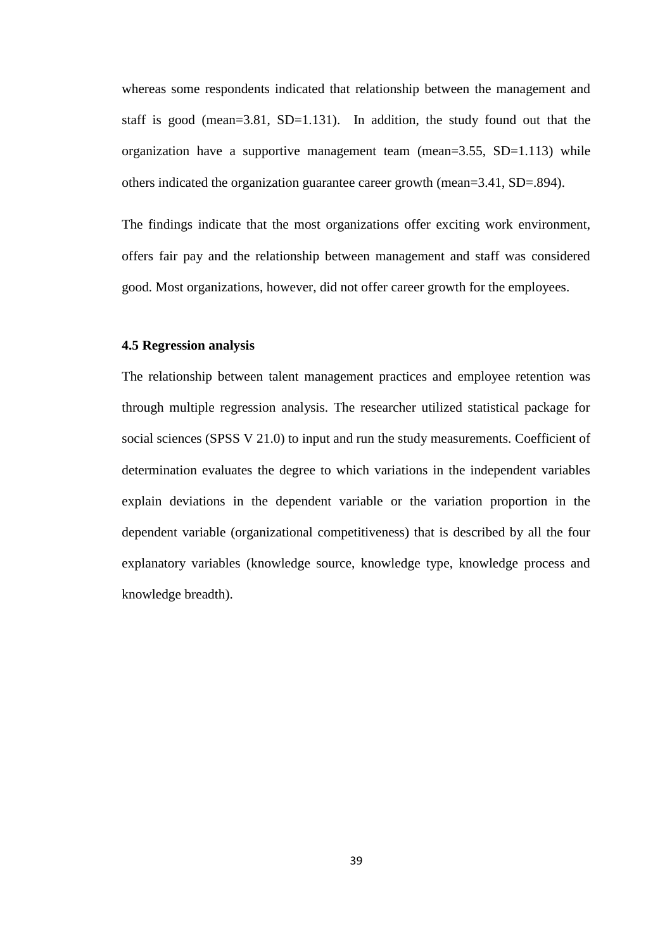whereas some respondents indicated that relationship between the management and staff is good (mean=3.81, SD=1.131). In addition, the study found out that the organization have a supportive management team (mean=3.55, SD=1.113) while others indicated the organization guarantee career growth (mean=3.41, SD=.894).

The findings indicate that the most organizations offer exciting work environment, offers fair pay and the relationship between management and staff was considered good. Most organizations, however, did not offer career growth for the employees.

#### <span id="page-49-0"></span>**4.5 Regression analysis**

The relationship between talent management practices and employee retention was through multiple regression analysis. The researcher utilized statistical package for social sciences (SPSS V 21.0) to input and run the study measurements. Coefficient of determination evaluates the degree to which variations in the independent variables explain deviations in the dependent variable or the variation proportion in the dependent variable (organizational competitiveness) that is described by all the four explanatory variables (knowledge source, knowledge type, knowledge process and knowledge breadth).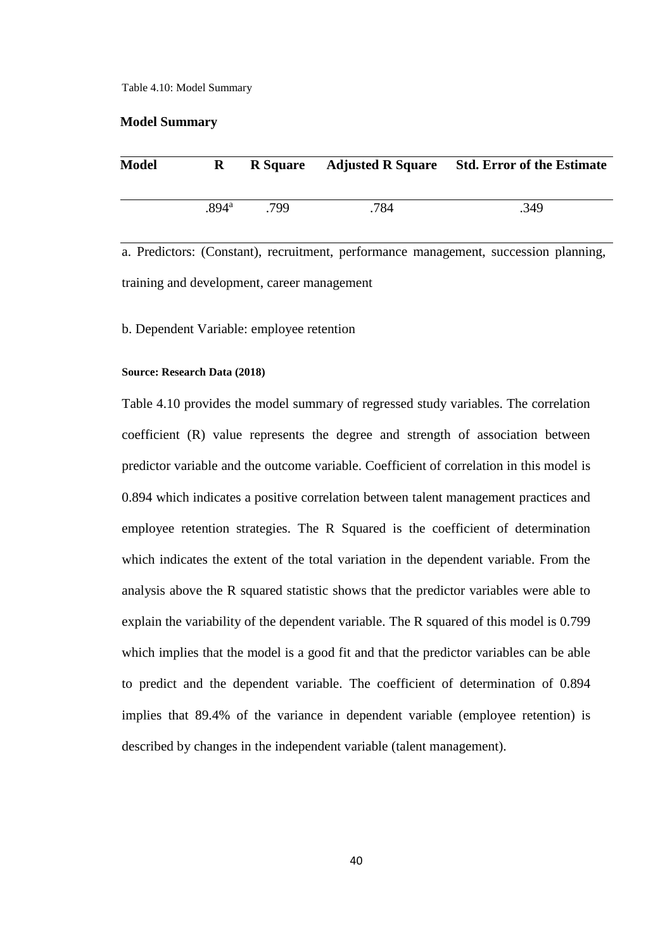Table 4.10: Model Summary

#### **Model Summary**

| <b>Model</b> | $\bf{R}$          |      |      | R Square Adjusted R Square Std. Error of the Estimate |
|--------------|-------------------|------|------|-------------------------------------------------------|
|              | .894 <sup>a</sup> | -799 | .784 | .349                                                  |

a. Predictors: (Constant), recruitment, performance management, succession planning, training and development, career management

b. Dependent Variable: employee retention

#### **Source: Research Data (2018)**

Table 4.10 provides the model summary of regressed study variables. The correlation coefficient (R) value represents the degree and strength of association between predictor variable and the outcome variable. Coefficient of correlation in this model is 0.894 which indicates a positive correlation between talent management practices and employee retention strategies. The R Squared is the coefficient of determination which indicates the extent of the total variation in the dependent variable. From the analysis above the R squared statistic shows that the predictor variables were able to explain the variability of the dependent variable. The R squared of this model is 0.799 which implies that the model is a good fit and that the predictor variables can be able to predict and the dependent variable. The coefficient of determination of 0.894 implies that 89.4% of the variance in dependent variable (employee retention) is described by changes in the independent variable (talent management).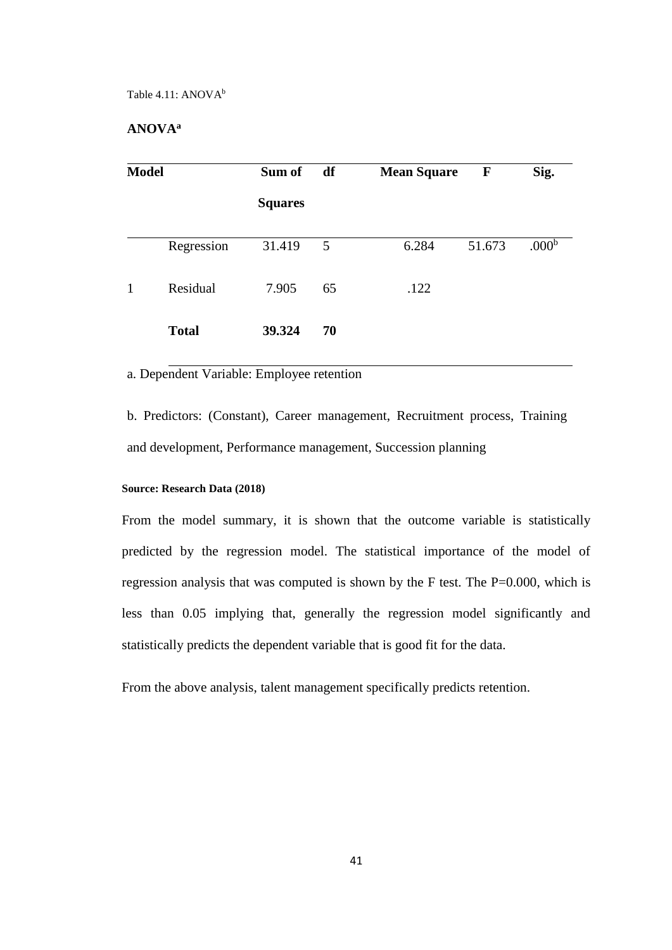## **ANOVA<sup>a</sup>**

| <b>Model</b> |              | Sum of         | df | <b>Mean Square</b> | ${\bf F}$ | Sig.              |
|--------------|--------------|----------------|----|--------------------|-----------|-------------------|
|              |              | <b>Squares</b> |    |                    |           |                   |
|              | Regression   | 31.419         | 5  | 6.284              | 51.673    | .000 <sup>b</sup> |
| 1            | Residual     | 7.905          | 65 | .122               |           |                   |
|              | <b>Total</b> | 39.324         | 70 |                    |           |                   |

a. Dependent Variable: Employee retention

b. Predictors: (Constant), Career management, Recruitment process, Training and development, Performance management, Succession planning

#### **Source: Research Data (2018)**

From the model summary, it is shown that the outcome variable is statistically predicted by the regression model. The statistical importance of the model of regression analysis that was computed is shown by the F test. The P=0.000, which is less than 0.05 implying that, generally the regression model significantly and statistically predicts the dependent variable that is good fit for the data.

From the above analysis, talent management specifically predicts retention.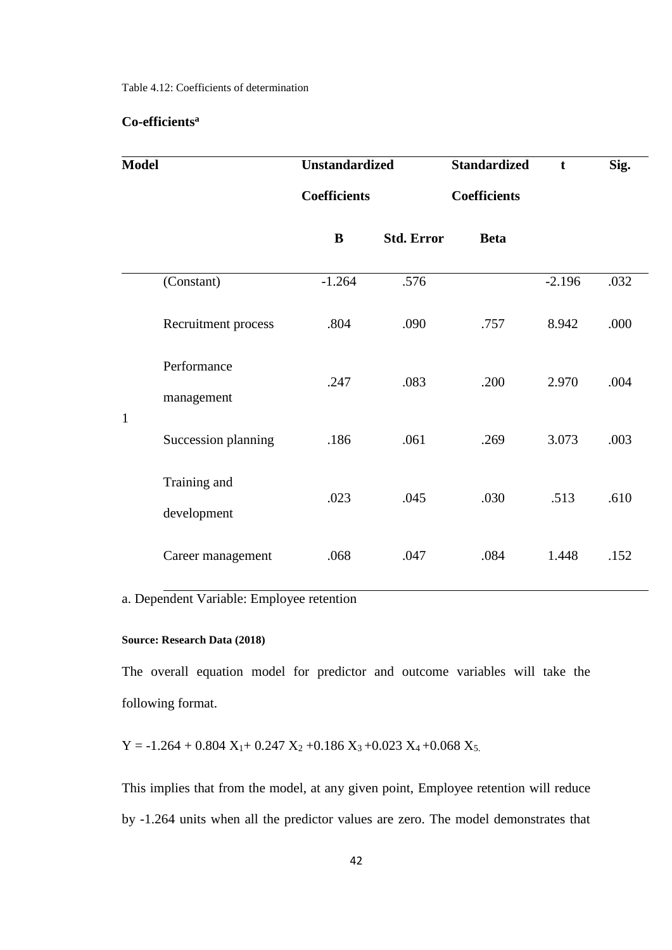Table 4.12: Coefficients of determination

## **Co-efficients<sup>a</sup>**

| <b>Model</b> |                             |                     | <b>Unstandardized</b> |                     | $\mathbf t$ | Sig. |
|--------------|-----------------------------|---------------------|-----------------------|---------------------|-------------|------|
|              |                             | <b>Coefficients</b> |                       | <b>Coefficients</b> |             |      |
|              |                             | B                   | <b>Std. Error</b>     | <b>Beta</b>         |             |      |
|              | (Constant)                  | $-1.264$            | .576                  |                     | $-2.196$    | .032 |
|              | Recruitment process         | .804                | .090                  | .757                | 8.942       | .000 |
| $\mathbf{1}$ | Performance<br>management   | .247                | .083                  | .200                | 2.970       | .004 |
|              | Succession planning         | .186                | .061                  | .269                | 3.073       | .003 |
|              | Training and<br>development | .023                | .045                  | .030                | .513        | .610 |
|              | Career management           | .068                | .047                  | .084                | 1.448       | .152 |

a. Dependent Variable: Employee retention

## **Source: Research Data (2018)**

The overall equation model for predictor and outcome variables will take the following format.

 $Y = -1.264 + 0.804 X_1 + 0.247 X_2 + 0.186 X_3 + 0.023 X_4 + 0.068 X_5$ .

This implies that from the model, at any given point, Employee retention will reduce by -1.264 units when all the predictor values are zero. The model demonstrates that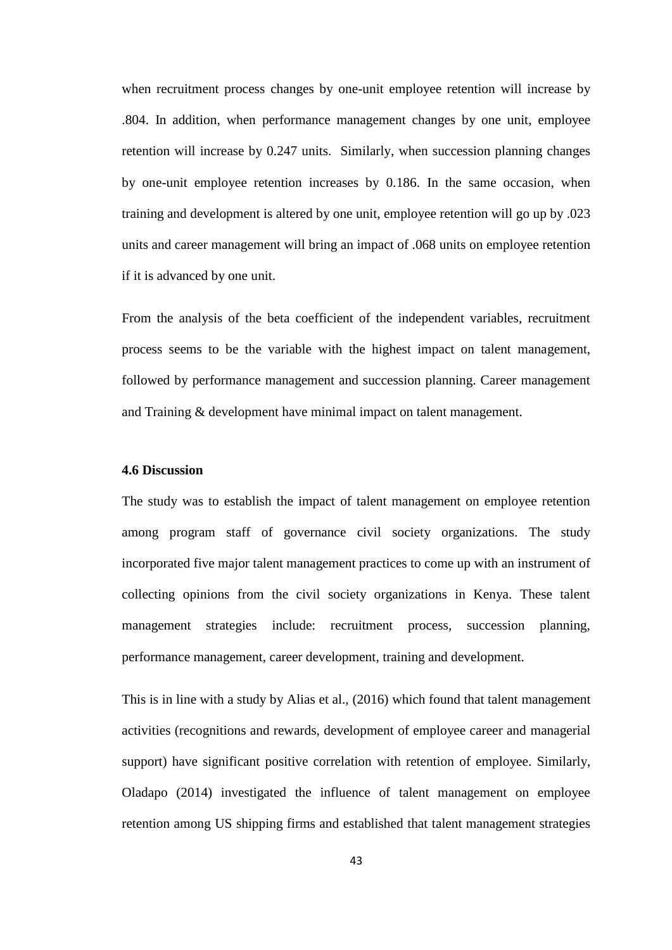when recruitment process changes by one-unit employee retention will increase by .804. In addition, when performance management changes by one unit, employee retention will increase by 0.247 units. Similarly, when succession planning changes by one-unit employee retention increases by 0.186. In the same occasion, when training and development is altered by one unit, employee retention will go up by .023 units and career management will bring an impact of .068 units on employee retention if it is advanced by one unit.

From the analysis of the beta coefficient of the independent variables, recruitment process seems to be the variable with the highest impact on talent management, followed by performance management and succession planning. Career management and Training & development have minimal impact on talent management.

#### <span id="page-53-0"></span>**4.6 Discussion**

The study was to establish the impact of talent management on employee retention among program staff of governance civil society organizations. The study incorporated five major talent management practices to come up with an instrument of collecting opinions from the civil society organizations in Kenya. These talent management strategies include: recruitment process, succession planning, performance management, career development, training and development.

This is in line with a study by Alias et al., (2016) which found that talent management activities (recognitions and rewards, development of employee career and managerial support) have significant positive correlation with retention of employee. Similarly, Oladapo (2014) investigated the influence of talent management on employee retention among US shipping firms and established that talent management strategies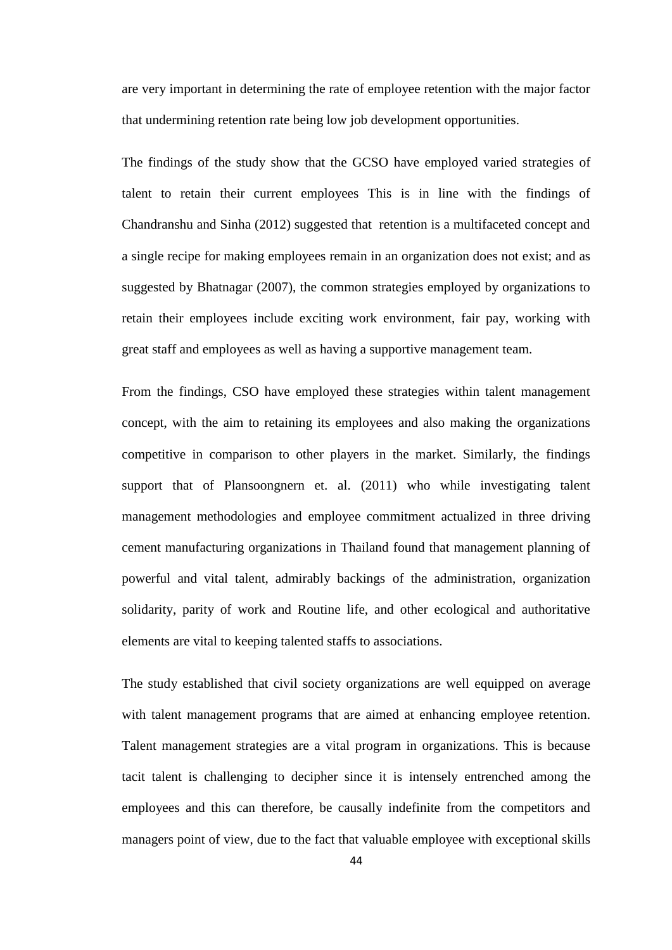are very important in determining the rate of employee retention with the major factor that undermining retention rate being low job development opportunities.

The findings of the study show that the GCSO have employed varied strategies of talent to retain their current employees This is in line with the findings of Chandranshu and Sinha (2012) suggested that retention is a multifaceted concept and a single recipe for making employees remain in an organization does not exist; and as suggested by Bhatnagar (2007), the common strategies employed by organizations to retain their employees include exciting work environment, fair pay, working with great staff and employees as well as having a supportive management team.

From the findings, CSO have employed these strategies within talent management concept, with the aim to retaining its employees and also making the organizations competitive in comparison to other players in the market. Similarly, the findings support that of Plansoongnern et. al. (2011) who while investigating talent management methodologies and employee commitment actualized in three driving cement manufacturing organizations in Thailand found that management planning of powerful and vital talent, admirably backings of the administration, organization solidarity, parity of work and Routine life, and other ecological and authoritative elements are vital to keeping talented staffs to associations.

The study established that civil society organizations are well equipped on average with talent management programs that are aimed at enhancing employee retention. Talent management strategies are a vital program in organizations. This is because tacit talent is challenging to decipher since it is intensely entrenched among the employees and this can therefore, be causally indefinite from the competitors and managers point of view, due to the fact that valuable employee with exceptional skills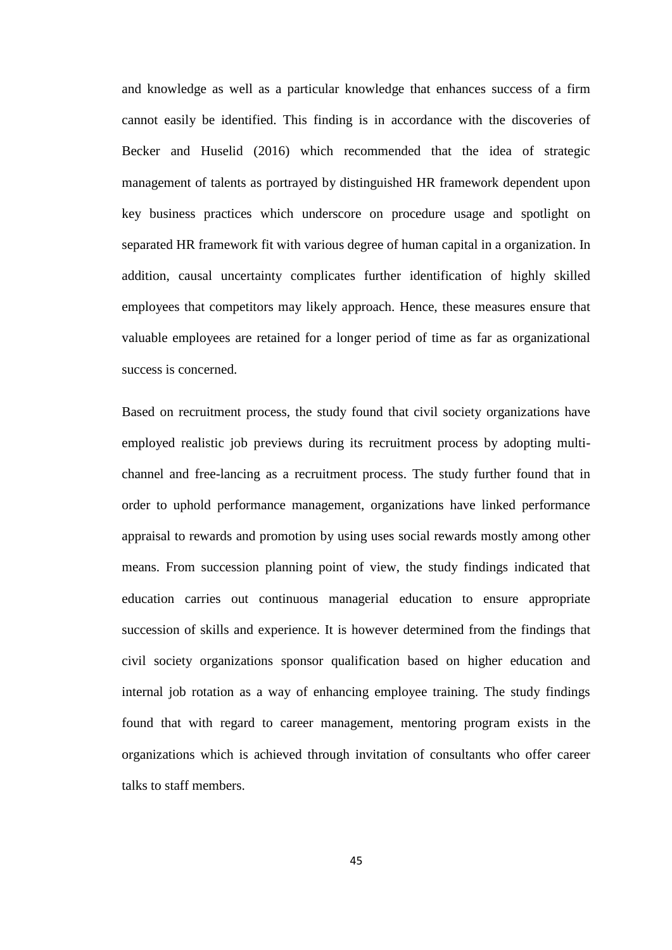and knowledge as well as a particular knowledge that enhances success of a firm cannot easily be identified. This finding is in accordance with the discoveries of Becker and Huselid (2016) which recommended that the idea of strategic management of talents as portrayed by distinguished HR framework dependent upon key business practices which underscore on procedure usage and spotlight on separated HR framework fit with various degree of human capital in a organization. In addition, causal uncertainty complicates further identification of highly skilled employees that competitors may likely approach. Hence, these measures ensure that valuable employees are retained for a longer period of time as far as organizational success is concerned.

Based on recruitment process, the study found that civil society organizations have employed realistic job previews during its recruitment process by adopting multichannel and free-lancing as a recruitment process. The study further found that in order to uphold performance management, organizations have linked performance appraisal to rewards and promotion by using uses social rewards mostly among other means. From succession planning point of view, the study findings indicated that education carries out continuous managerial education to ensure appropriate succession of skills and experience. It is however determined from the findings that civil society organizations sponsor qualification based on higher education and internal job rotation as a way of enhancing employee training. The study findings found that with regard to career management, mentoring program exists in the organizations which is achieved through invitation of consultants who offer career talks to staff members.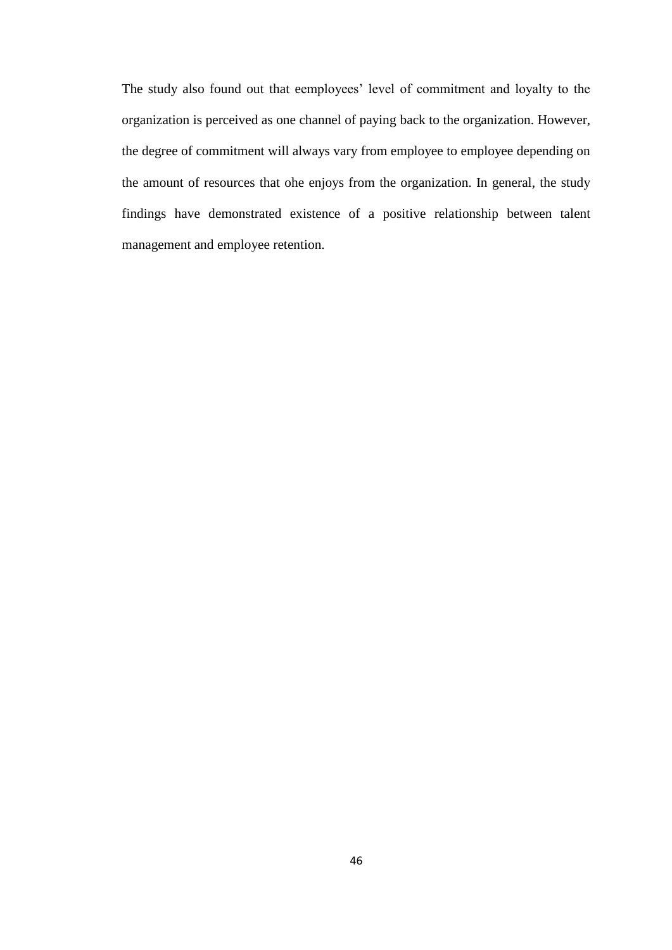The study also found out that eemployees' level of commitment and loyalty to the organization is perceived as one channel of paying back to the organization. However, the degree of commitment will always vary from employee to employee depending on the amount of resources that ohe enjoys from the organization. In general, the study findings have demonstrated existence of a positive relationship between talent management and employee retention.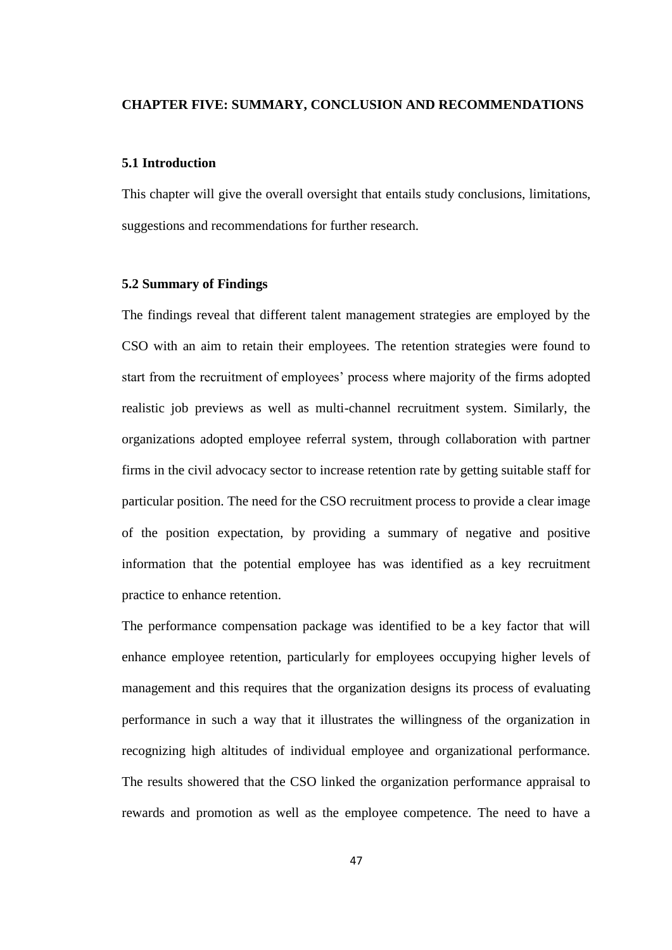## <span id="page-57-0"></span>**CHAPTER FIVE: SUMMARY, CONCLUSION AND RECOMMENDATIONS**

#### <span id="page-57-1"></span>**5.1 Introduction**

This chapter will give the overall oversight that entails study conclusions, limitations, suggestions and recommendations for further research.

#### <span id="page-57-2"></span>**5.2 Summary of Findings**

The findings reveal that different talent management strategies are employed by the CSO with an aim to retain their employees. The retention strategies were found to start from the recruitment of employees' process where majority of the firms adopted realistic job previews as well as multi-channel recruitment system. Similarly, the organizations adopted employee referral system, through collaboration with partner firms in the civil advocacy sector to increase retention rate by getting suitable staff for particular position. The need for the CSO recruitment process to provide a clear image of the position expectation, by providing a summary of negative and positive information that the potential employee has was identified as a key recruitment practice to enhance retention.

The performance compensation package was identified to be a key factor that will enhance employee retention, particularly for employees occupying higher levels of management and this requires that the organization designs its process of evaluating performance in such a way that it illustrates the willingness of the organization in recognizing high altitudes of individual employee and organizational performance. The results showered that the CSO linked the organization performance appraisal to rewards and promotion as well as the employee competence. The need to have a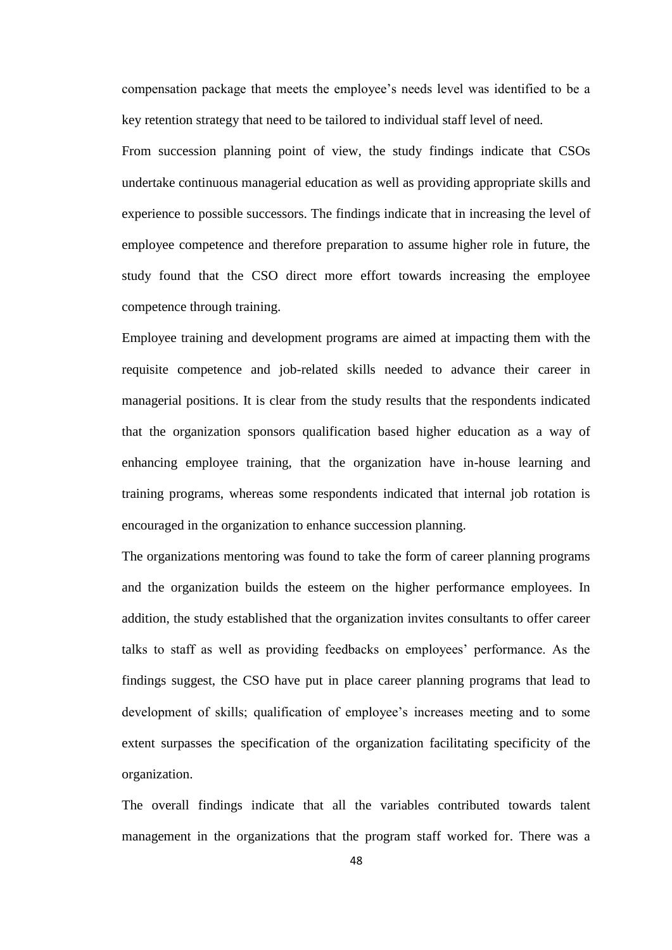compensation package that meets the employee's needs level was identified to be a key retention strategy that need to be tailored to individual staff level of need.

From succession planning point of view, the study findings indicate that CSOs undertake continuous managerial education as well as providing appropriate skills and experience to possible successors. The findings indicate that in increasing the level of employee competence and therefore preparation to assume higher role in future, the study found that the CSO direct more effort towards increasing the employee competence through training.

Employee training and development programs are aimed at impacting them with the requisite competence and job-related skills needed to advance their career in managerial positions. It is clear from the study results that the respondents indicated that the organization sponsors qualification based higher education as a way of enhancing employee training, that the organization have in-house learning and training programs, whereas some respondents indicated that internal job rotation is encouraged in the organization to enhance succession planning.

The organizations mentoring was found to take the form of career planning programs and the organization builds the esteem on the higher performance employees. In addition, the study established that the organization invites consultants to offer career talks to staff as well as providing feedbacks on employees' performance. As the findings suggest, the CSO have put in place career planning programs that lead to development of skills; qualification of employee's increases meeting and to some extent surpasses the specification of the organization facilitating specificity of the organization.

The overall findings indicate that all the variables contributed towards talent management in the organizations that the program staff worked for. There was a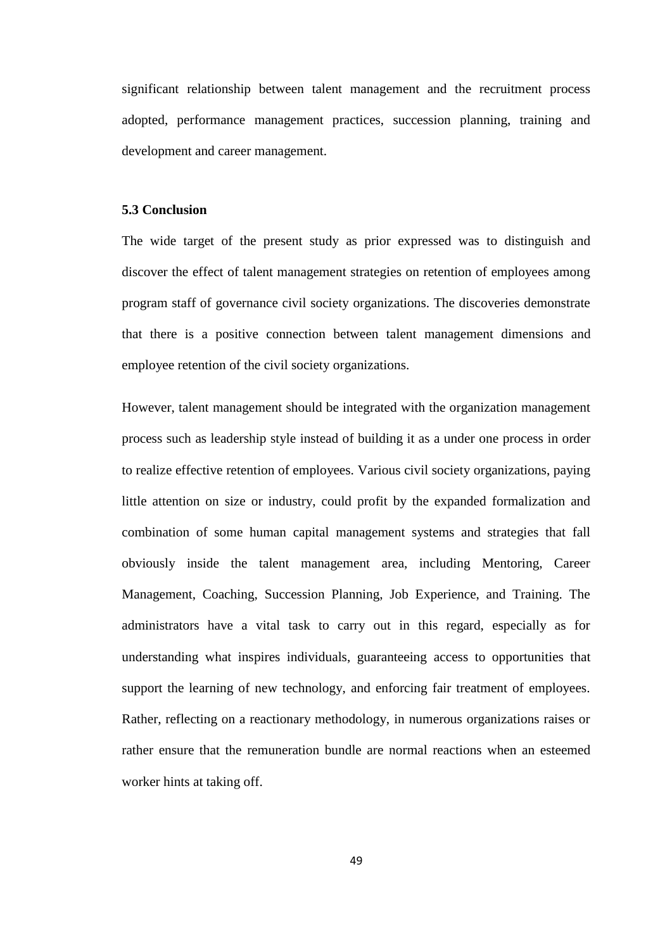significant relationship between talent management and the recruitment process adopted, performance management practices, succession planning, training and development and career management.

#### <span id="page-59-0"></span>**5.3 Conclusion**

The wide target of the present study as prior expressed was to distinguish and discover the effect of talent management strategies on retention of employees among program staff of governance civil society organizations. The discoveries demonstrate that there is a positive connection between talent management dimensions and employee retention of the civil society organizations.

However, talent management should be integrated with the organization management process such as leadership style instead of building it as a under one process in order to realize effective retention of employees. Various civil society organizations, paying little attention on size or industry, could profit by the expanded formalization and combination of some human capital management systems and strategies that fall obviously inside the talent management area, including Mentoring, Career Management, Coaching, Succession Planning, Job Experience, and Training. The administrators have a vital task to carry out in this regard, especially as for understanding what inspires individuals, guaranteeing access to opportunities that support the learning of new technology, and enforcing fair treatment of employees. Rather, reflecting on a reactionary methodology, in numerous organizations raises or rather ensure that the remuneration bundle are normal reactions when an esteemed worker hints at taking off.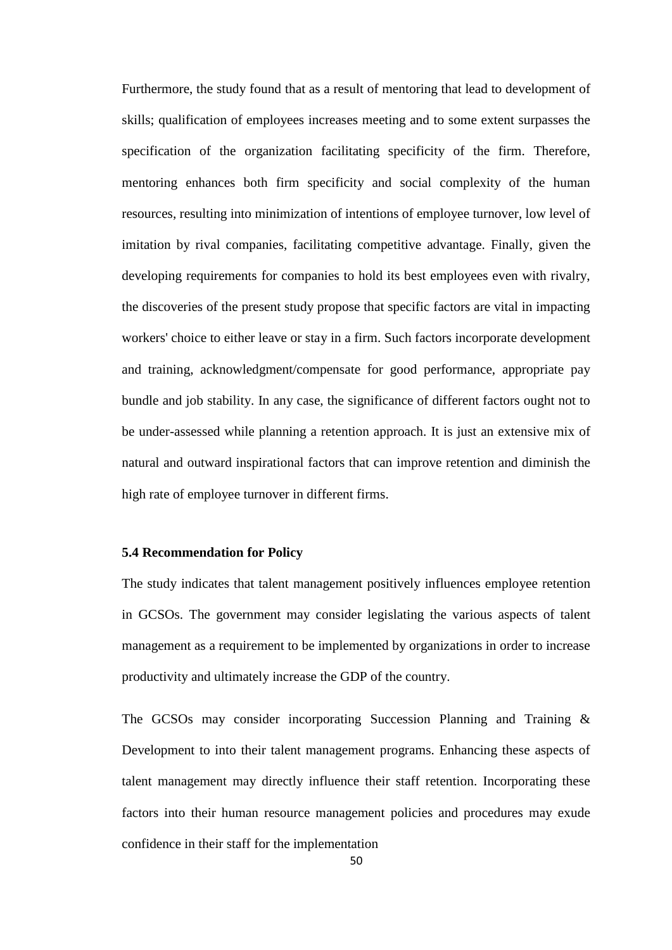Furthermore, the study found that as a result of mentoring that lead to development of skills; qualification of employees increases meeting and to some extent surpasses the specification of the organization facilitating specificity of the firm. Therefore, mentoring enhances both firm specificity and social complexity of the human resources, resulting into minimization of intentions of employee turnover, low level of imitation by rival companies, facilitating competitive advantage. Finally, given the developing requirements for companies to hold its best employees even with rivalry, the discoveries of the present study propose that specific factors are vital in impacting workers' choice to either leave or stay in a firm. Such factors incorporate development and training, acknowledgment/compensate for good performance, appropriate pay bundle and job stability. In any case, the significance of different factors ought not to be under-assessed while planning a retention approach. It is just an extensive mix of natural and outward inspirational factors that can improve retention and diminish the high rate of employee turnover in different firms.

#### <span id="page-60-0"></span>**5.4 Recommendation for Policy**

The study indicates that talent management positively influences employee retention in GCSOs. The government may consider legislating the various aspects of talent management as a requirement to be implemented by organizations in order to increase productivity and ultimately increase the GDP of the country.

The GCSOs may consider incorporating Succession Planning and Training & Development to into their talent management programs. Enhancing these aspects of talent management may directly influence their staff retention. Incorporating these factors into their human resource management policies and procedures may exude confidence in their staff for the implementation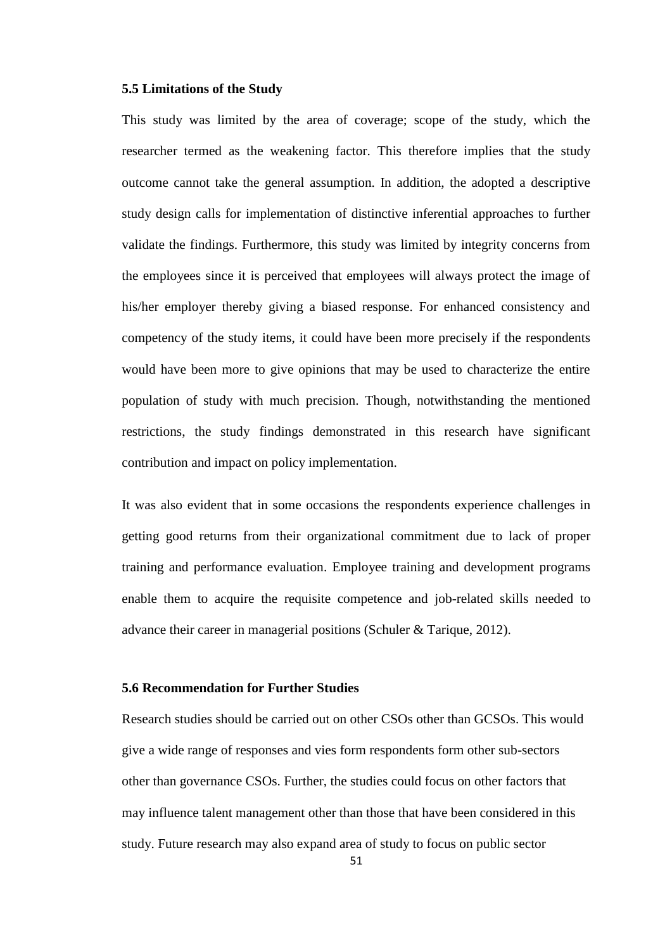#### <span id="page-61-0"></span>**5.5 Limitations of the Study**

This study was limited by the area of coverage; scope of the study, which the researcher termed as the weakening factor. This therefore implies that the study outcome cannot take the general assumption. In addition, the adopted a descriptive study design calls for implementation of distinctive inferential approaches to further validate the findings. Furthermore, this study was limited by integrity concerns from the employees since it is perceived that employees will always protect the image of his/her employer thereby giving a biased response. For enhanced consistency and competency of the study items, it could have been more precisely if the respondents would have been more to give opinions that may be used to characterize the entire population of study with much precision. Though, notwithstanding the mentioned restrictions, the study findings demonstrated in this research have significant contribution and impact on policy implementation.

It was also evident that in some occasions the respondents experience challenges in getting good returns from their organizational commitment due to lack of proper training and performance evaluation. Employee training and development programs enable them to acquire the requisite competence and job-related skills needed to advance their career in managerial positions (Schuler & Tarique, 2012).

## <span id="page-61-1"></span>**5.6 Recommendation for Further Studies**

Research studies should be carried out on other CSOs other than GCSOs. This would give a wide range of responses and vies form respondents form other sub-sectors other than governance CSOs. Further, the studies could focus on other factors that may influence talent management other than those that have been considered in this study. Future research may also expand area of study to focus on public sector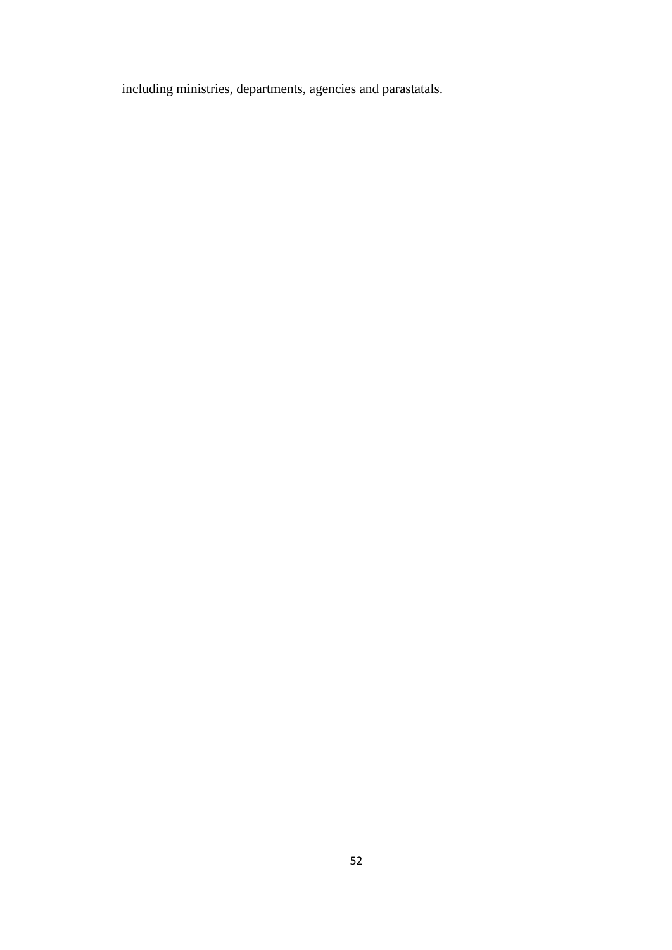including ministries, departments, agencies and parastatals.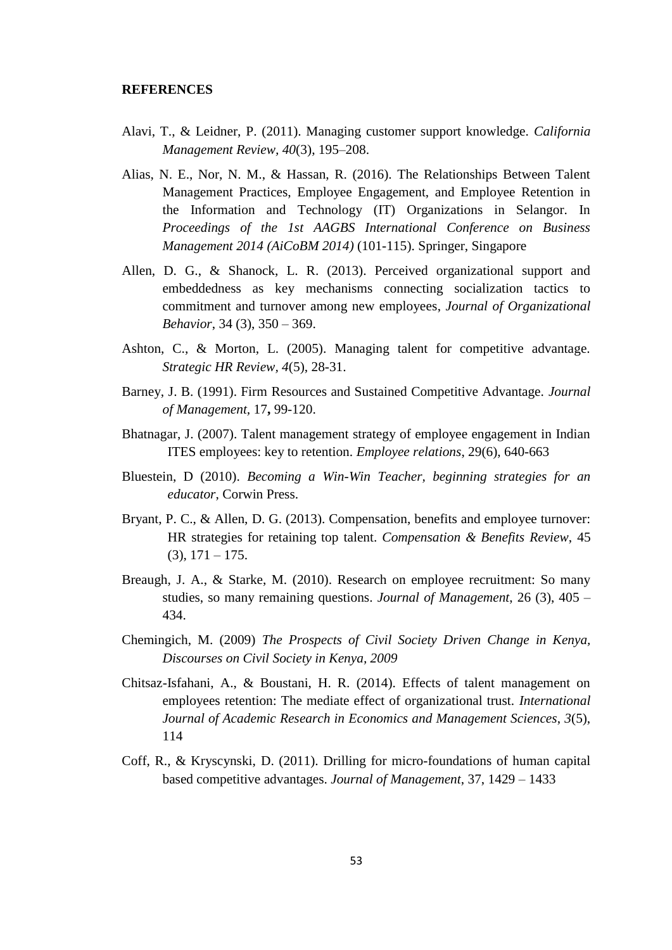#### **REFERENCES**

- Alavi, T., & Leidner, P. (2011). Managing customer support knowledge. *California Management Review, 40*(3), 195–208.
- Alias, N. E., Nor, N. M., & Hassan, R. (2016). The Relationships Between Talent Management Practices, Employee Engagement, and Employee Retention in the Information and Technology (IT) Organizations in Selangor. In *Proceedings of the 1st AAGBS International Conference on Business Management 2014 (AiCoBM 2014)* (101-115). Springer, Singapore
- Allen, D. G., & Shanock, L. R. (2013). Perceived organizational support and embeddedness as key mechanisms connecting socialization tactics to commitment and turnover among new employees, *Journal of Organizational Behavior*, 34 (3), 350 – 369.
- Ashton, C., & Morton, L. (2005). Managing talent for competitive advantage. *Strategic HR Review, 4*(5), 28-31.
- Barney, J. B. (1991). Firm Resources and Sustained Competitive Advantage. *Journal of Management,* 17**,** 99-120.
- Bhatnagar, J. (2007). Talent management strategy of employee engagement in Indian ITES employees: key to retention. *Employee relations*, 29(6), 640-663
- Bluestein, D (2010). *Becoming a Win-Win Teacher, beginning strategies for an educator*, Corwin Press.
- Bryant, P. C., & Allen, D. G. (2013). Compensation, benefits and employee turnover: HR strategies for retaining top talent. *Compensation & Benefits Review*, 45  $(3), 171 - 175.$
- Breaugh, J. A., & Starke, M. (2010). Research on employee recruitment: So many studies, so many remaining questions. *Journal of Management*, 26 (3), 405 – 434.
- Chemingich, M. (2009) *The Prospects of Civil Society Driven Change in Kenya, Discourses on Civil Society in Kenya, 2009*
- Chitsaz-Isfahani, A., & Boustani, H. R. (2014). Effects of talent management on employees retention: The mediate effect of organizational trust. *International Journal of Academic Research in Economics and Management Sciences*, *3*(5), 114
- Coff, R., & Kryscynski, D. (2011). Drilling for micro-foundations of human capital based competitive advantages. *Journal of Management*, 37, 1429 – 1433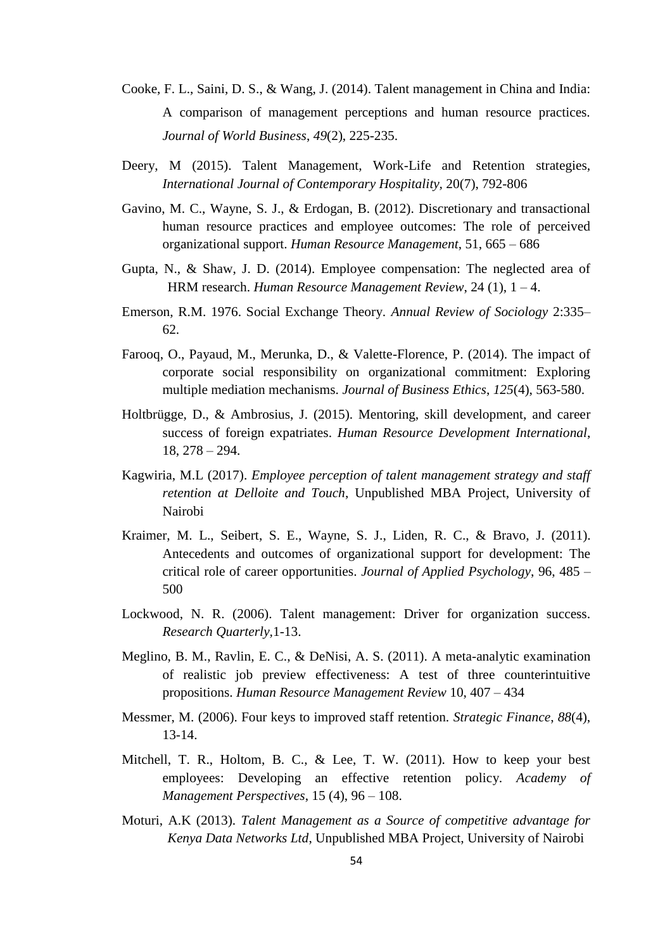- Cooke, F. L., Saini, D. S., & Wang, J. (2014). Talent management in China and India: A comparison of management perceptions and human resource practices. *Journal of World Business*, *49*(2), 225-235.
- Deery, M (2015). Talent Management, Work-Life and Retention strategies, *International Journal of Contemporary Hospitality,* 20(7), 792-806
- Gavino, M. C., Wayne, S. J., & Erdogan, B. (2012). Discretionary and transactional human resource practices and employee outcomes: The role of perceived organizational support. *Human Resource Management*, 51, 665 – 686
- Gupta, N., & Shaw, J. D. (2014). Employee compensation: The neglected area of HRM research. *Human Resource Management Review*, 24 (1), 1 – 4.
- Emerson, R.M. 1976. Social Exchange Theory. *Annual Review of Sociology* 2:335– 62.
- Farooq, O., Payaud, M., Merunka, D., & Valette-Florence, P. (2014). The impact of corporate social responsibility on organizational commitment: Exploring multiple mediation mechanisms. *Journal of Business Ethics*, *125*(4), 563-580.
- Holtbrügge, D., & Ambrosius, J. (2015). Mentoring, skill development, and career success of foreign expatriates. *Human Resource Development International*, 18, 278 – 294.
- Kagwiria, M.L (2017). *Employee perception of talent management strategy and staff retention at Delloite and Touch*, Unpublished MBA Project, University of Nairobi
- Kraimer, M. L., Seibert, S. E., Wayne, S. J., Liden, R. C., & Bravo, J. (2011). Antecedents and outcomes of organizational support for development: The critical role of career opportunities. *Journal of Applied Psychology*, 96, 485 – 500
- Lockwood, N. R. (2006). Talent management: Driver for organization success. *Research Quarterly,*1-13.
- Meglino, B. M., Ravlin, E. C., & DeNisi, A. S. (2011). A meta-analytic examination of realistic job preview effectiveness: A test of three counterintuitive propositions. *Human Resource Management Review* 10, 407 – 434
- Messmer, M. (2006). Four keys to improved staff retention. *Strategic Finance*, *88*(4), 13-14.
- Mitchell, T. R., Holtom, B. C., & Lee, T. W. (2011). How to keep your best employees: Developing an effective retention policy. *Academy of Management Perspectives*, 15 (4), 96 – 108.
- Moturi, A.K (2013). *Talent Management as a Source of competitive advantage for Kenya Data Networks Ltd*, Unpublished MBA Project, University of Nairobi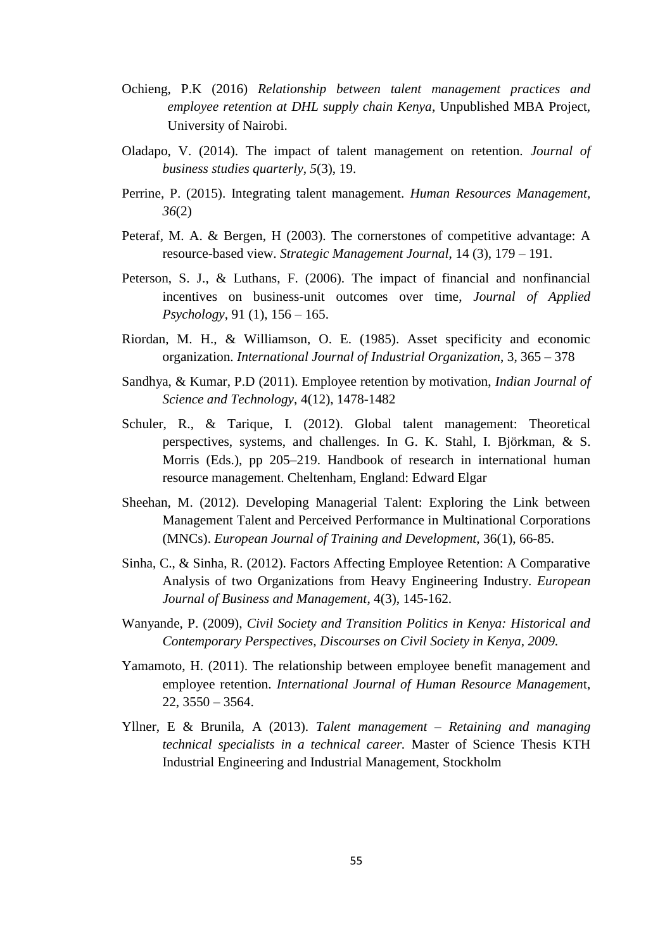- Ochieng, P.K (2016) *Relationship between talent management practices and employee retention at DHL supply chain Kenya*, Unpublished MBA Project, University of Nairobi.
- Oladapo, V. (2014). The impact of talent management on retention. *Journal of business studies quarterly*, *5*(3), 19.
- Perrine, P. (2015). Integrating talent management. *Human Resources Management, 36*(2)
- Peteraf, M. A. & Bergen, H (2003). The cornerstones of competitive advantage: A resource-based view. *Strategic Management Journal*, 14 (3), 179 – 191.
- Peterson, S. J., & Luthans, F. (2006). The impact of financial and nonfinancial incentives on business-unit outcomes over time, *Journal of Applied Psychology*, 91 (1), 156 – 165.
- Riordan, M. H., & Williamson, O. E. (1985). Asset specificity and economic organization. *International Journal of Industrial Organization*, 3, 365 – 378
- Sandhya, & Kumar, P.D (2011). Employee retention by motivation, *Indian Journal of Science and Technology*, 4(12), 1478-1482
- Schuler, R., & Tarique, I. (2012). Global talent management: Theoretical perspectives, systems, and challenges. In G. K. Stahl, I. Björkman, & S. Morris (Eds.), pp 205–219. Handbook of research in international human resource management. Cheltenham, England: Edward Elgar
- Sheehan, M. (2012). Developing Managerial Talent: Exploring the Link between Management Talent and Perceived Performance in Multinational Corporations (MNCs). *European Journal of Training and Development*, 36(1), 66-85.
- Sinha, C., & Sinha, R. (2012). Factors Affecting Employee Retention: A Comparative Analysis of two Organizations from Heavy Engineering Industry. *European Journal of Business and Management*, 4(3), 145-162.
- Wanyande, P. (2009), *Civil Society and Transition Politics in Kenya: Historical and Contemporary Perspectives, Discourses on Civil Society in Kenya, 2009.*
- Yamamoto, H. (2011). The relationship between employee benefit management and employee retention. *International Journal of Human Resource Managemen*t,  $22, 3550 - 3564.$
- Yllner, E & Brunila, A (2013). *Talent management – Retaining and managing technical specialists in a technical career.* Master of Science Thesis KTH Industrial Engineering and Industrial Management, Stockholm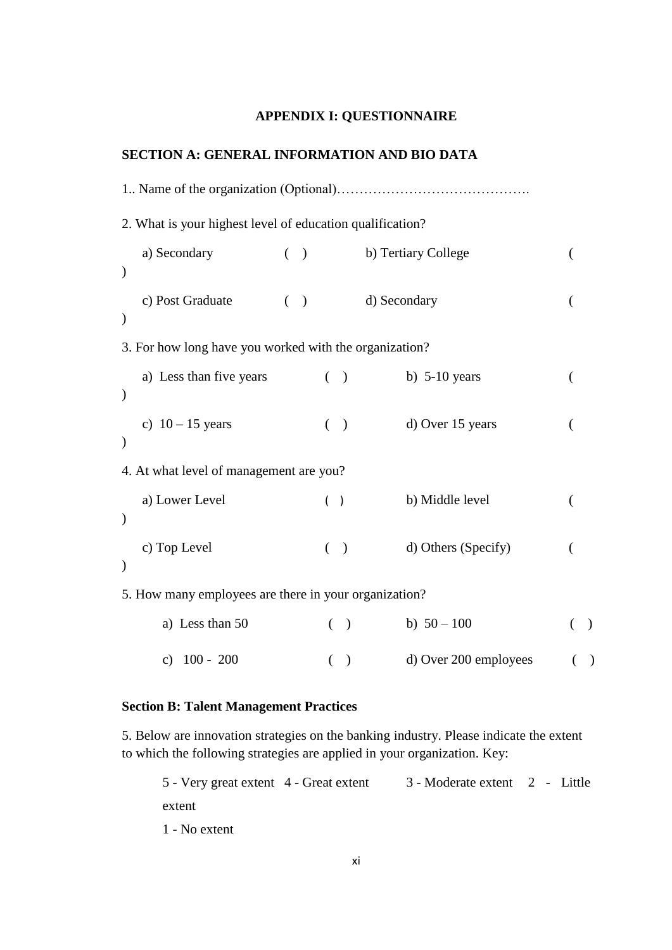## **APPENDIX I: QUESTIONNAIRE**

## <span id="page-66-0"></span>**SECTION A: GENERAL INFORMATION AND BIO DATA**

| 2. What is your highest level of education qualification? |       |          |               |                       |           |
|-----------------------------------------------------------|-------|----------|---------------|-----------------------|-----------|
| a) Secondary<br>$\mathcal{E}$                             | ( )   |          |               | b) Tertiary College   |           |
| c) Post Graduate<br>$\mathcal{E}$                         | $($ ) |          |               | d) Secondary          |           |
| 3. For how long have you worked with the organization?    |       |          |               |                       |           |
| a) Less than five years<br>$\mathcal{E}$                  |       | $\left($ | $\big)$       | b) $5-10$ years       |           |
| c) $10 - 15$ years<br>$\mathcal{E}$                       |       |          | $($ )         | d) Over 15 years      |           |
| 4. At what level of management are you?                   |       |          |               |                       |           |
| a) Lower Level<br>$\mathcal{E}$                           |       | ( )      |               | b) Middle level       |           |
| c) Top Level<br>$\mathcal{E}$                             |       | €        | $\mathcal{L}$ | d) Others (Specify)   |           |
| 5. How many employees are there in your organization?     |       |          |               |                       |           |
| a) Less than 50                                           |       | €        | $\big)$       | b) $50 - 100$         | $\lambda$ |
| c) $100 - 200$                                            |       | $\left($ | $\lambda$     | d) Over 200 employees | $\lambda$ |

## **Section B: Talent Management Practices**

5. Below are innovation strategies on the banking industry. Please indicate the extent to which the following strategies are applied in your organization. Key:

| 5 - Very great extent 4 - Great extent | 3 - Moderate extent 2 - Little |  |  |
|----------------------------------------|--------------------------------|--|--|
| extent                                 |                                |  |  |
|                                        |                                |  |  |

1 - No extent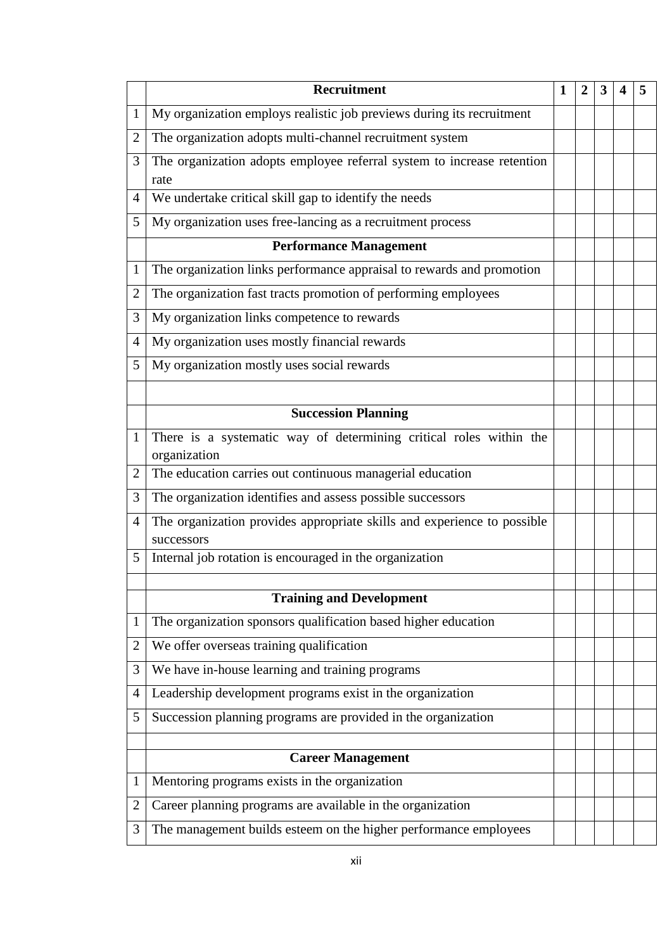|                | <b>Recruitment</b>                                                                    |  | $\mathbf 2$ | 3 |  |
|----------------|---------------------------------------------------------------------------------------|--|-------------|---|--|
| 1              | My organization employs realistic job previews during its recruitment                 |  |             |   |  |
| $\overline{2}$ | The organization adopts multi-channel recruitment system                              |  |             |   |  |
| 3              | The organization adopts employee referral system to increase retention                |  |             |   |  |
|                | rate                                                                                  |  |             |   |  |
| 4              | We undertake critical skill gap to identify the needs                                 |  |             |   |  |
| 5              | My organization uses free-lancing as a recruitment process                            |  |             |   |  |
|                | <b>Performance Management</b>                                                         |  |             |   |  |
| $\mathbf{1}$   | The organization links performance appraisal to rewards and promotion                 |  |             |   |  |
| $\overline{2}$ | The organization fast tracts promotion of performing employees                        |  |             |   |  |
| 3              | My organization links competence to rewards                                           |  |             |   |  |
| 4              | My organization uses mostly financial rewards                                         |  |             |   |  |
| 5              | My organization mostly uses social rewards                                            |  |             |   |  |
|                |                                                                                       |  |             |   |  |
|                | <b>Succession Planning</b>                                                            |  |             |   |  |
| $\mathbf{1}$   | There is a systematic way of determining critical roles within the<br>organization    |  |             |   |  |
| $\overline{2}$ | The education carries out continuous managerial education                             |  |             |   |  |
| 3              | The organization identifies and assess possible successors                            |  |             |   |  |
| 4              | The organization provides appropriate skills and experience to possible<br>successors |  |             |   |  |
| 5              | Internal job rotation is encouraged in the organization                               |  |             |   |  |
|                |                                                                                       |  |             |   |  |
|                | <b>Training and Development</b>                                                       |  |             |   |  |
| $\mathbf{1}$   | The organization sponsors qualification based higher education                        |  |             |   |  |
| $\overline{2}$ | We offer overseas training qualification                                              |  |             |   |  |
| 3              | We have in-house learning and training programs                                       |  |             |   |  |
| 4              | Leadership development programs exist in the organization                             |  |             |   |  |
| 5              | Succession planning programs are provided in the organization                         |  |             |   |  |
|                |                                                                                       |  |             |   |  |
|                | <b>Career Management</b>                                                              |  |             |   |  |
| $\mathbf{1}$   | Mentoring programs exists in the organization                                         |  |             |   |  |
| $\overline{2}$ | Career planning programs are available in the organization                            |  |             |   |  |
| 3              | The management builds esteem on the higher performance employees                      |  |             |   |  |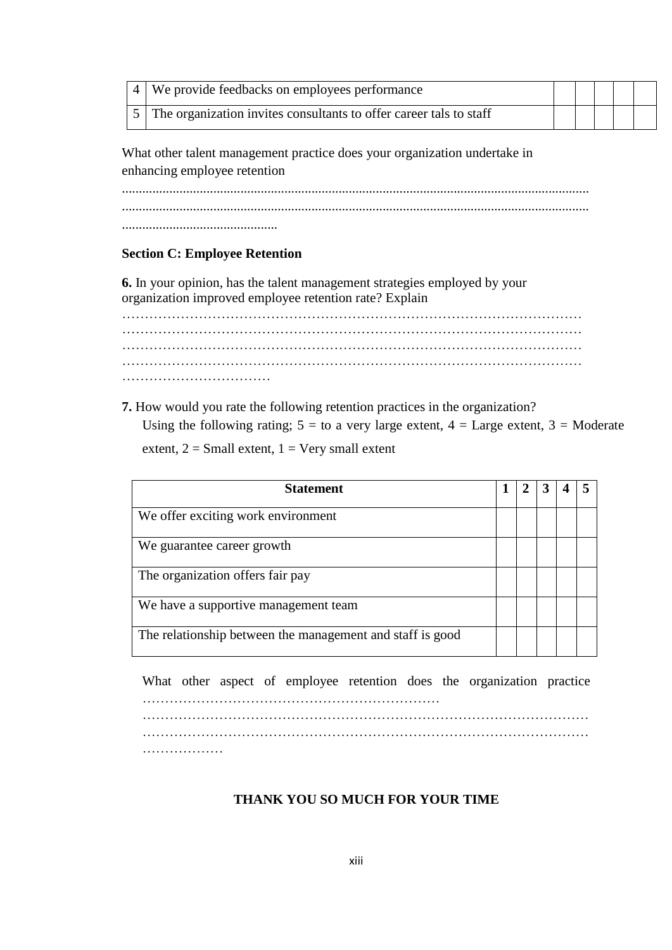| 4   We provide feedbacks on employees performance                    |  |  |  |
|----------------------------------------------------------------------|--|--|--|
| 5 The organization invites consultants to offer career tals to staff |  |  |  |

What other talent management practice does your organization undertake in enhancing employee retention

.......................................................................................................................................... .......................................................................................................................................... ..............................................

## **Section C: Employee Retention**

**6.** In your opinion, has the talent management strategies employed by your organization improved employee retention rate? Explain

………………………………………………………………………………………… ………………………………………………………………………………………… …………………………………………………………………………………………  $\mathcal{L}^{\text{max}}_{\text{max}}$ ……………………………

**7.** How would you rate the following retention practices in the organization? Using the following rating;  $5 =$  to a very large extent,  $4 =$  Large extent,  $3 =$  Moderate extent,  $2 = Small$  extent,  $1 = Very$  small extent

| <b>Statement</b>                                          |  |  |  |
|-----------------------------------------------------------|--|--|--|
| We offer exciting work environment                        |  |  |  |
| We guarantee career growth                                |  |  |  |
| The organization offers fair pay                          |  |  |  |
| We have a supportive management team                      |  |  |  |
| The relationship between the management and staff is good |  |  |  |

What other aspect of employee retention does the organization practice …………………………………………………………

………………………………………………………………………………………

………………

## **THANK YOU SO MUCH FOR YOUR TIME**